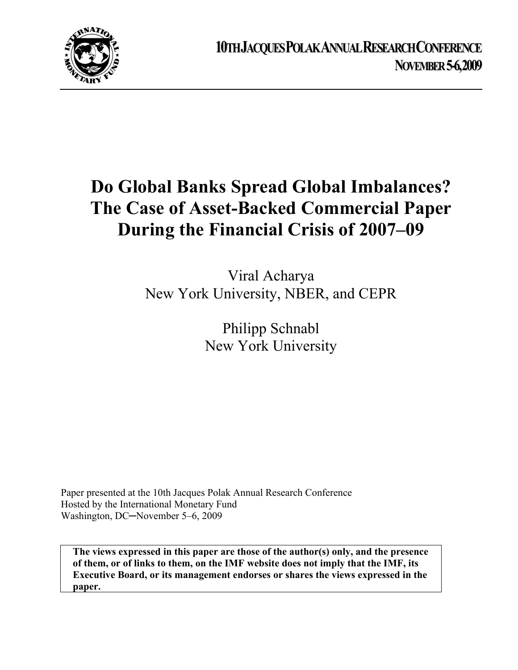

# **Do Global Banks Spread Global Imbalances? The Case of Asset-Backed Commercial Paper During the Financial Crisis of 2007–09**

Viral Acharya New York University, NBER, and CEPR

> Philipp Schnabl New York University

Paper presented at the 10th Jacques Polak Annual Research Conference Hosted by the International Monetary Fund Washington, DC─November 5–6, 2009

**The views expressed in this paper are those of the author(s) only, and the presence of them, or of links to them, on the IMF website does not imply that the IMF, its Executive Board, or its management endorses or shares the views expressed in the paper.**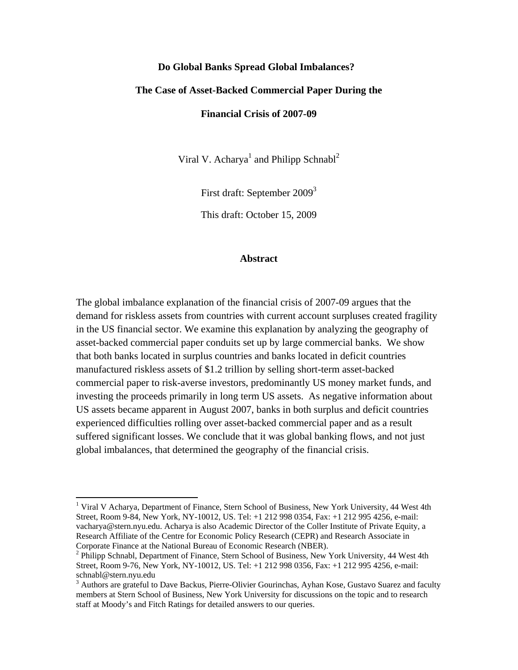#### **Do Global Banks Spread Global Imbalances?**

# **The Case of Asset-Backed Commercial Paper During the**

**Financial Crisis of 2007-09** 

Viral V. Acharya<sup>1</sup> and Philipp Schnabl<sup>2</sup>

First draft: September 2009<sup>3</sup>

This draft: October 15, 2009

#### **Abstract**

The global imbalance explanation of the financial crisis of 2007-09 argues that the demand for riskless assets from countries with current account surpluses created fragility in the US financial sector. We examine this explanation by analyzing the geography of asset-backed commercial paper conduits set up by large commercial banks. We show that both banks located in surplus countries and banks located in deficit countries manufactured riskless assets of \$1.2 trillion by selling short-term asset-backed commercial paper to risk-averse investors, predominantly US money market funds, and investing the proceeds primarily in long term US assets. As negative information about US assets became apparent in August 2007, banks in both surplus and deficit countries experienced difficulties rolling over asset-backed commercial paper and as a result suffered significant losses. We conclude that it was global banking flows, and not just global imbalances, that determined the geography of the financial crisis.

<sup>&</sup>lt;sup>1</sup> Viral V Acharya, Department of Finance, Stern School of Business, New York University, 44 West 4th Street, Room 9-84, New York, NY-10012, US. Tel: +1 212 998 0354, Fax: +1 212 995 4256, e-mail: vacharya@stern.nyu.edu. Acharya is also Academic Director of the Coller Institute of Private Equity, a Research Affiliate of the Centre for Economic Policy Research (CEPR) and Research Associate in Corporate Finance at the National Bureau of Economic Research (NBER). 2

<sup>&</sup>lt;sup>2</sup> Philipp Schnabl, Department of Finance, Stern School of Business, New York University, 44 West 4th Street, Room 9-76, New York, NY-10012, US. Tel: +1 212 998 0356, Fax: +1 212 995 4256, e-mail: schnabl@stern.nyu.edu

<sup>&</sup>lt;sup>3</sup> Authors are grateful to Dave Backus, Pierre-Olivier Gourinchas, Ayhan Kose, Gustavo Suarez and faculty members at Stern School of Business, New York University for discussions on the topic and to research staff at Moody's and Fitch Ratings for detailed answers to our queries.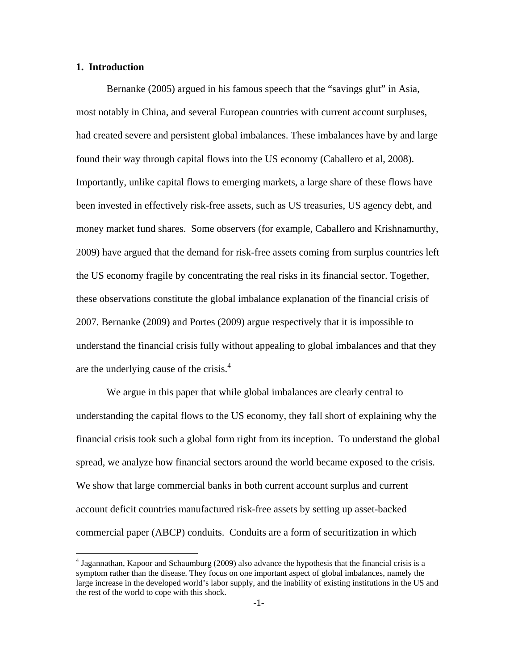# **1. Introduction**

Bernanke (2005) argued in his famous speech that the "savings glut" in Asia, most notably in China, and several European countries with current account surpluses, had created severe and persistent global imbalances. These imbalances have by and large found their way through capital flows into the US economy (Caballero et al, 2008). Importantly, unlike capital flows to emerging markets, a large share of these flows have been invested in effectively risk-free assets, such as US treasuries, US agency debt, and money market fund shares. Some observers (for example, Caballero and Krishnamurthy, 2009) have argued that the demand for risk-free assets coming from surplus countries left the US economy fragile by concentrating the real risks in its financial sector. Together, these observations constitute the global imbalance explanation of the financial crisis of 2007. Bernanke (2009) and Portes (2009) argue respectively that it is impossible to understand the financial crisis fully without appealing to global imbalances and that they are the underlying cause of the crisis.4

We argue in this paper that while global imbalances are clearly central to understanding the capital flows to the US economy, they fall short of explaining why the financial crisis took such a global form right from its inception. To understand the global spread, we analyze how financial sectors around the world became exposed to the crisis. We show that large commercial banks in both current account surplus and current account deficit countries manufactured risk-free assets by setting up asset-backed commercial paper (ABCP) conduits. Conduits are a form of securitization in which

 4 Jagannathan, Kapoor and Schaumburg (2009) also advance the hypothesis that the financial crisis is a symptom rather than the disease. They focus on one important aspect of global imbalances, namely the large increase in the developed world's labor supply, and the inability of existing institutions in the US and the rest of the world to cope with this shock.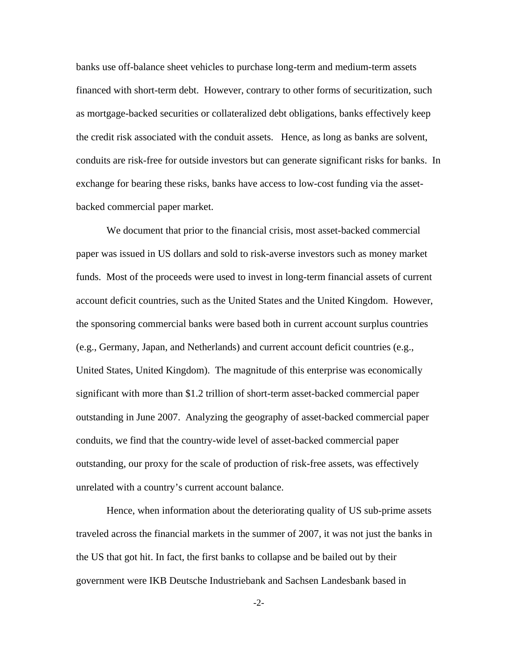banks use off-balance sheet vehicles to purchase long-term and medium-term assets financed with short-term debt. However, contrary to other forms of securitization, such as mortgage-backed securities or collateralized debt obligations, banks effectively keep the credit risk associated with the conduit assets. Hence, as long as banks are solvent, conduits are risk-free for outside investors but can generate significant risks for banks. In exchange for bearing these risks, banks have access to low-cost funding via the assetbacked commercial paper market.

We document that prior to the financial crisis, most asset-backed commercial paper was issued in US dollars and sold to risk-averse investors such as money market funds. Most of the proceeds were used to invest in long-term financial assets of current account deficit countries, such as the United States and the United Kingdom. However, the sponsoring commercial banks were based both in current account surplus countries (e.g., Germany, Japan, and Netherlands) and current account deficit countries (e.g., United States, United Kingdom). The magnitude of this enterprise was economically significant with more than \$1.2 trillion of short-term asset-backed commercial paper outstanding in June 2007. Analyzing the geography of asset-backed commercial paper conduits, we find that the country-wide level of asset-backed commercial paper outstanding, our proxy for the scale of production of risk-free assets, was effectively unrelated with a country's current account balance.

Hence, when information about the deteriorating quality of US sub-prime assets traveled across the financial markets in the summer of 2007, it was not just the banks in the US that got hit. In fact, the first banks to collapse and be bailed out by their government were IKB Deutsche Industriebank and Sachsen Landesbank based in

-2-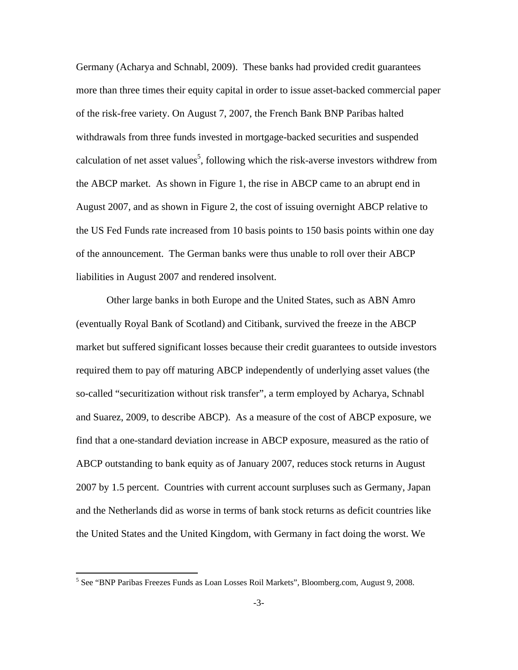Germany (Acharya and Schnabl, 2009). These banks had provided credit guarantees more than three times their equity capital in order to issue asset-backed commercial paper of the risk-free variety. On August 7, 2007, the French Bank BNP Paribas halted withdrawals from three funds invested in mortgage-backed securities and suspended calculation of net asset values<sup>5</sup>, following which the risk-averse investors withdrew from the ABCP market. As shown in Figure 1, the rise in ABCP came to an abrupt end in August 2007, and as shown in Figure 2, the cost of issuing overnight ABCP relative to the US Fed Funds rate increased from 10 basis points to 150 basis points within one day of the announcement. The German banks were thus unable to roll over their ABCP liabilities in August 2007 and rendered insolvent.

Other large banks in both Europe and the United States, such as ABN Amro (eventually Royal Bank of Scotland) and Citibank, survived the freeze in the ABCP market but suffered significant losses because their credit guarantees to outside investors required them to pay off maturing ABCP independently of underlying asset values (the so-called "securitization without risk transfer", a term employed by Acharya, Schnabl and Suarez, 2009, to describe ABCP). As a measure of the cost of ABCP exposure, we find that a one-standard deviation increase in ABCP exposure, measured as the ratio of ABCP outstanding to bank equity as of January 2007, reduces stock returns in August 2007 by 1.5 percent. Countries with current account surpluses such as Germany, Japan and the Netherlands did as worse in terms of bank stock returns as deficit countries like the United States and the United Kingdom, with Germany in fact doing the worst. We

<sup>5</sup> See "BNP Paribas Freezes Funds as Loan Losses Roil Markets", Bloomberg.com, August 9, 2008.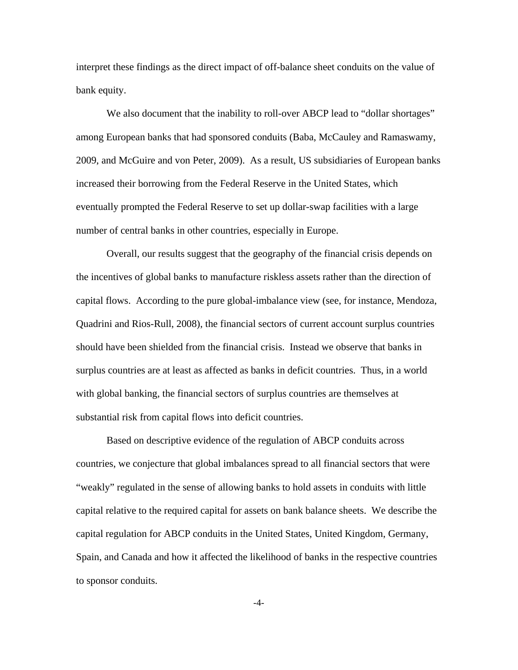interpret these findings as the direct impact of off-balance sheet conduits on the value of bank equity.

We also document that the inability to roll-over ABCP lead to "dollar shortages" among European banks that had sponsored conduits (Baba, McCauley and Ramaswamy, 2009, and McGuire and von Peter, 2009). As a result, US subsidiaries of European banks increased their borrowing from the Federal Reserve in the United States, which eventually prompted the Federal Reserve to set up dollar-swap facilities with a large number of central banks in other countries, especially in Europe.

Overall, our results suggest that the geography of the financial crisis depends on the incentives of global banks to manufacture riskless assets rather than the direction of capital flows. According to the pure global-imbalance view (see, for instance, Mendoza, Quadrini and Rios-Rull, 2008), the financial sectors of current account surplus countries should have been shielded from the financial crisis. Instead we observe that banks in surplus countries are at least as affected as banks in deficit countries. Thus, in a world with global banking, the financial sectors of surplus countries are themselves at substantial risk from capital flows into deficit countries.

Based on descriptive evidence of the regulation of ABCP conduits across countries, we conjecture that global imbalances spread to all financial sectors that were "weakly" regulated in the sense of allowing banks to hold assets in conduits with little capital relative to the required capital for assets on bank balance sheets. We describe the capital regulation for ABCP conduits in the United States, United Kingdom, Germany, Spain, and Canada and how it affected the likelihood of banks in the respective countries to sponsor conduits.

-4-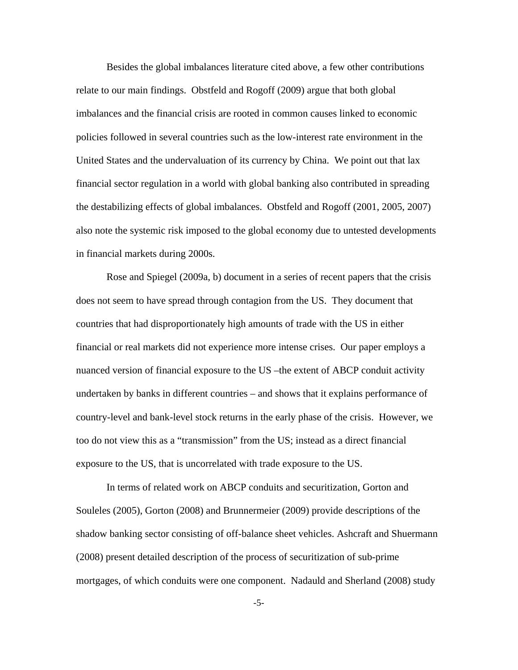Besides the global imbalances literature cited above, a few other contributions relate to our main findings. Obstfeld and Rogoff (2009) argue that both global imbalances and the financial crisis are rooted in common causes linked to economic policies followed in several countries such as the low-interest rate environment in the United States and the undervaluation of its currency by China. We point out that lax financial sector regulation in a world with global banking also contributed in spreading the destabilizing effects of global imbalances. Obstfeld and Rogoff (2001, 2005, 2007) also note the systemic risk imposed to the global economy due to untested developments in financial markets during 2000s.

Rose and Spiegel (2009a, b) document in a series of recent papers that the crisis does not seem to have spread through contagion from the US. They document that countries that had disproportionately high amounts of trade with the US in either financial or real markets did not experience more intense crises. Our paper employs a nuanced version of financial exposure to the US –the extent of ABCP conduit activity undertaken by banks in different countries – and shows that it explains performance of country-level and bank-level stock returns in the early phase of the crisis. However, we too do not view this as a "transmission" from the US; instead as a direct financial exposure to the US, that is uncorrelated with trade exposure to the US.

In terms of related work on ABCP conduits and securitization, Gorton and Souleles (2005), Gorton (2008) and Brunnermeier (2009) provide descriptions of the shadow banking sector consisting of off-balance sheet vehicles. Ashcraft and Shuermann (2008) present detailed description of the process of securitization of sub-prime mortgages, of which conduits were one component. Nadauld and Sherland (2008) study

-5-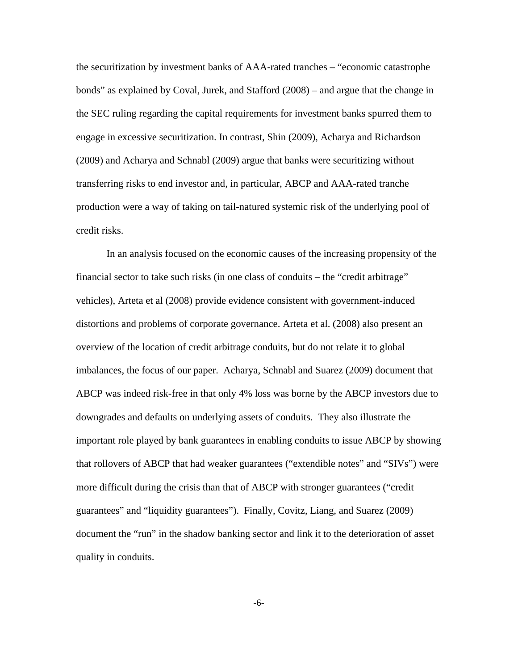the securitization by investment banks of AAA-rated tranches – "economic catastrophe bonds" as explained by Coval, Jurek, and Stafford (2008) – and argue that the change in the SEC ruling regarding the capital requirements for investment banks spurred them to engage in excessive securitization. In contrast, Shin (2009), Acharya and Richardson (2009) and Acharya and Schnabl (2009) argue that banks were securitizing without transferring risks to end investor and, in particular, ABCP and AAA-rated tranche production were a way of taking on tail-natured systemic risk of the underlying pool of credit risks.

In an analysis focused on the economic causes of the increasing propensity of the financial sector to take such risks (in one class of conduits – the "credit arbitrage" vehicles), Arteta et al (2008) provide evidence consistent with government-induced distortions and problems of corporate governance. Arteta et al. (2008) also present an overview of the location of credit arbitrage conduits, but do not relate it to global imbalances, the focus of our paper. Acharya, Schnabl and Suarez (2009) document that ABCP was indeed risk-free in that only 4% loss was borne by the ABCP investors due to downgrades and defaults on underlying assets of conduits. They also illustrate the important role played by bank guarantees in enabling conduits to issue ABCP by showing that rollovers of ABCP that had weaker guarantees ("extendible notes" and "SIVs") were more difficult during the crisis than that of ABCP with stronger guarantees ("credit guarantees" and "liquidity guarantees"). Finally, Covitz, Liang, and Suarez (2009) document the "run" in the shadow banking sector and link it to the deterioration of asset quality in conduits.

-6-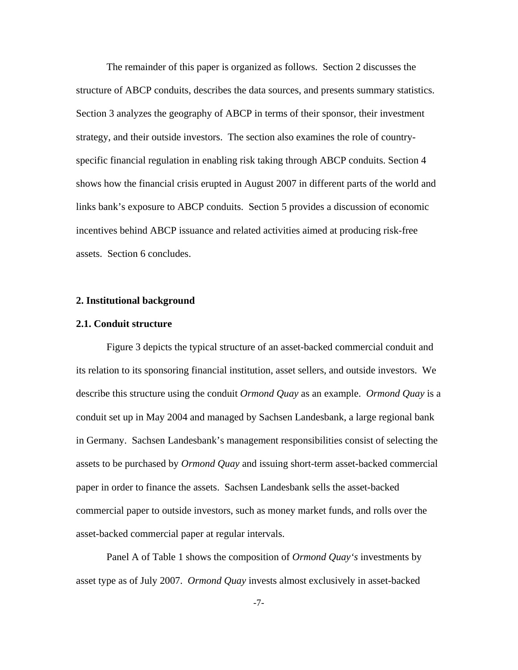The remainder of this paper is organized as follows. Section 2 discusses the structure of ABCP conduits, describes the data sources, and presents summary statistics. Section 3 analyzes the geography of ABCP in terms of their sponsor, their investment strategy, and their outside investors. The section also examines the role of countryspecific financial regulation in enabling risk taking through ABCP conduits. Section 4 shows how the financial crisis erupted in August 2007 in different parts of the world and links bank's exposure to ABCP conduits. Section 5 provides a discussion of economic incentives behind ABCP issuance and related activities aimed at producing risk-free assets. Section 6 concludes.

## **2. Institutional background**

#### **2.1. Conduit structure**

Figure 3 depicts the typical structure of an asset-backed commercial conduit and its relation to its sponsoring financial institution, asset sellers, and outside investors. We describe this structure using the conduit *Ormond Quay* as an example. *Ormond Quay* is a conduit set up in May 2004 and managed by Sachsen Landesbank, a large regional bank in Germany. Sachsen Landesbank's management responsibilities consist of selecting the assets to be purchased by *Ormond Quay* and issuing short-term asset-backed commercial paper in order to finance the assets. Sachsen Landesbank sells the asset-backed commercial paper to outside investors, such as money market funds, and rolls over the asset-backed commercial paper at regular intervals.

Panel A of Table 1 shows the composition of *Ormond Quay's* investments by asset type as of July 2007. *Ormond Quay* invests almost exclusively in asset-backed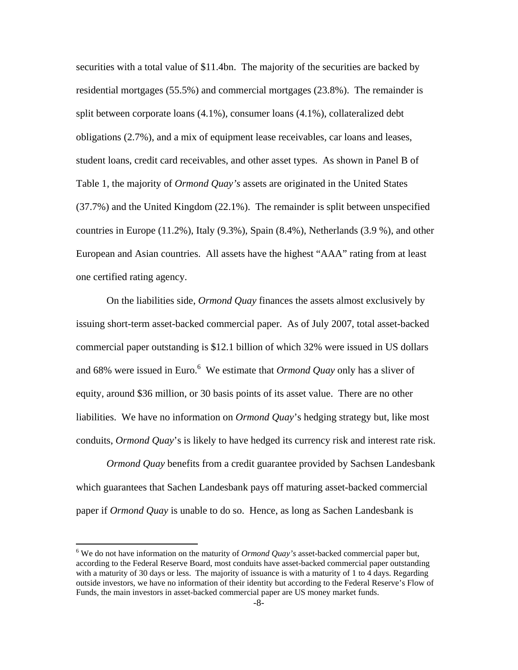securities with a total value of \$11.4bn. The majority of the securities are backed by residential mortgages (55.5%) and commercial mortgages (23.8%). The remainder is split between corporate loans (4.1%), consumer loans (4.1%), collateralized debt obligations (2.7%), and a mix of equipment lease receivables, car loans and leases, student loans, credit card receivables, and other asset types. As shown in Panel B of Table 1, the majority of *Ormond Quay's* assets are originated in the United States (37.7%) and the United Kingdom (22.1%). The remainder is split between unspecified countries in Europe (11.2%), Italy (9.3%), Spain (8.4%), Netherlands (3.9 %), and other European and Asian countries. All assets have the highest "AAA" rating from at least one certified rating agency.

On the liabilities side, *Ormond Quay* finances the assets almost exclusively by issuing short-term asset-backed commercial paper. As of July 2007, total asset-backed commercial paper outstanding is \$12.1 billion of which 32% were issued in US dollars and 68% were issued in Euro.<sup>6</sup> We estimate that *Ormond Quay* only has a sliver of equity, around \$36 million, or 30 basis points of its asset value. There are no other liabilities. We have no information on *Ormond Quay*'s hedging strategy but, like most conduits, *Ormond Quay*'s is likely to have hedged its currency risk and interest rate risk.

*Ormond Quay* benefits from a credit guarantee provided by Sachsen Landesbank which guarantees that Sachen Landesbank pays off maturing asset-backed commercial paper if *Ormond Quay* is unable to do so. Hence, as long as Sachen Landesbank is

 $6$  We do not have information on the maturity of *Ormond Quay's* asset-backed commercial paper but, according to the Federal Reserve Board, most conduits have asset-backed commercial paper outstanding with a maturity of 30 days or less. The majority of issuance is with a maturity of 1 to 4 days. Regarding outside investors, we have no information of their identity but according to the Federal Reserve's Flow of Funds, the main investors in asset-backed commercial paper are US money market funds.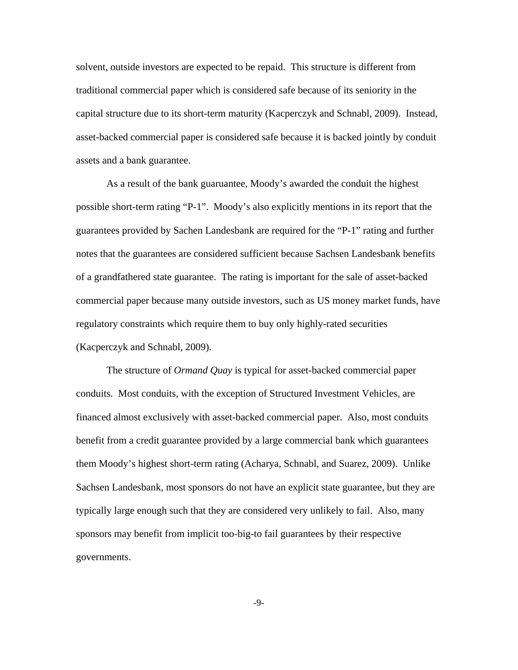solvent, outside investors are expected to be repaid. This structure is different from traditional commercial paper which is considered safe because of its seniority in the capital structure due to its short-term maturity (Kacperczyk and Schnabl, 2009). Instead, asset-backed commercial paper is considered safe because it is backed jointly by conduit assets and a bank guarantee.

As a result of the bank guaruantee, Moody's awarded the conduit the highest possible short-term rating "P-1". Moody's also explicitly mentions in its report that the guarantees provided by Sachen Landesbank are required for the "P-1" rating and further notes that the guarantees are considered sufficient because Sachsen Landesbank benefits of a grandfathered state guarantee. The rating is important for the sale of asset-backed commercial paper because many outside investors, such as US money market funds, have regulatory constraints which require them to buy only highly-rated securities (Kacperczyk and Schnabl, 2009).

 The structure of *Ormand Quay* is typical for asset-backed commercial paper conduits. Most conduits, with the exception of Structured Investment Vehicles, are financed almost exclusively with asset-backed commercial paper. Also, most conduits benefit from a credit guarantee provided by a large commercial bank which guarantees them Moody's highest short-term rating (Acharya, Schnabl, and Suarez, 2009). Unlike Sachsen Landesbank, most sponsors do not have an explicit state guarantee, but they are typically large enough such that they are considered very unlikely to fail. Also, many sponsors may benefit from implicit too-big-to fail guarantees by their respective governments.

-9-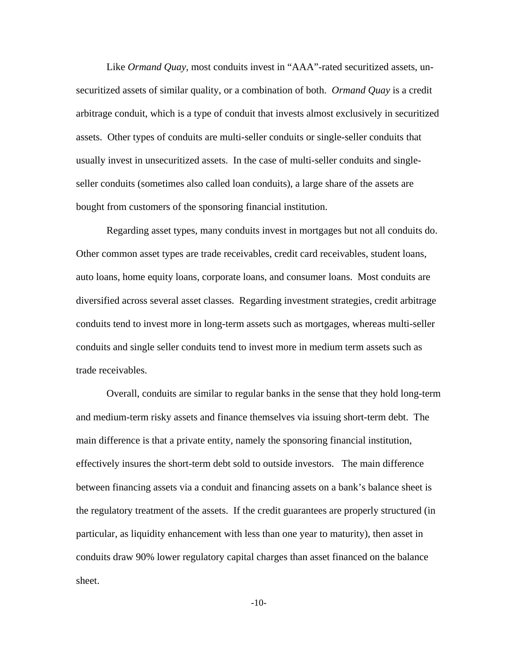Like *Ormand Quay*, most conduits invest in "AAA"-rated securitized assets, unsecuritized assets of similar quality, or a combination of both. *Ormand Quay* is a credit arbitrage conduit, which is a type of conduit that invests almost exclusively in securitized assets. Other types of conduits are multi-seller conduits or single-seller conduits that usually invest in unsecuritized assets. In the case of multi-seller conduits and singleseller conduits (sometimes also called loan conduits), a large share of the assets are bought from customers of the sponsoring financial institution.

Regarding asset types, many conduits invest in mortgages but not all conduits do. Other common asset types are trade receivables, credit card receivables, student loans, auto loans, home equity loans, corporate loans, and consumer loans. Most conduits are diversified across several asset classes. Regarding investment strategies, credit arbitrage conduits tend to invest more in long-term assets such as mortgages, whereas multi-seller conduits and single seller conduits tend to invest more in medium term assets such as trade receivables.

 Overall, conduits are similar to regular banks in the sense that they hold long-term and medium-term risky assets and finance themselves via issuing short-term debt. The main difference is that a private entity, namely the sponsoring financial institution, effectively insures the short-term debt sold to outside investors. The main difference between financing assets via a conduit and financing assets on a bank's balance sheet is the regulatory treatment of the assets. If the credit guarantees are properly structured (in particular, as liquidity enhancement with less than one year to maturity), then asset in conduits draw 90% lower regulatory capital charges than asset financed on the balance sheet.

-10-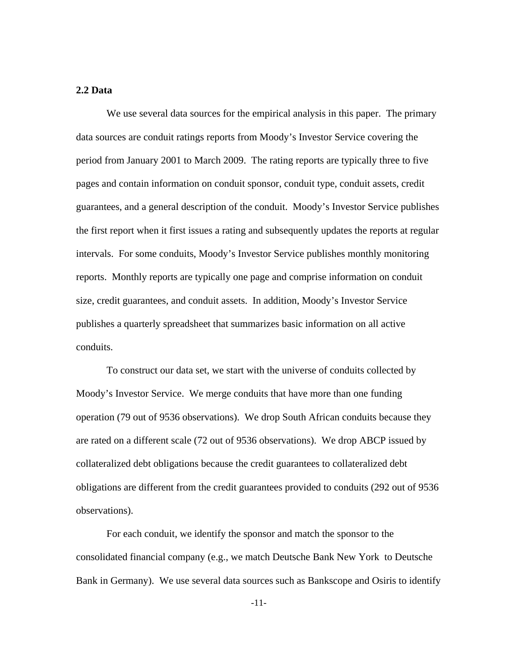# **2.2 Data**

We use several data sources for the empirical analysis in this paper. The primary data sources are conduit ratings reports from Moody's Investor Service covering the period from January 2001 to March 2009. The rating reports are typically three to five pages and contain information on conduit sponsor, conduit type, conduit assets, credit guarantees, and a general description of the conduit. Moody's Investor Service publishes the first report when it first issues a rating and subsequently updates the reports at regular intervals. For some conduits, Moody's Investor Service publishes monthly monitoring reports. Monthly reports are typically one page and comprise information on conduit size, credit guarantees, and conduit assets. In addition, Moody's Investor Service publishes a quarterly spreadsheet that summarizes basic information on all active conduits.

 To construct our data set, we start with the universe of conduits collected by Moody's Investor Service. We merge conduits that have more than one funding operation (79 out of 9536 observations). We drop South African conduits because they are rated on a different scale (72 out of 9536 observations). We drop ABCP issued by collateralized debt obligations because the credit guarantees to collateralized debt obligations are different from the credit guarantees provided to conduits (292 out of 9536 observations).

For each conduit, we identify the sponsor and match the sponsor to the consolidated financial company (e.g., we match Deutsche Bank New York to Deutsche Bank in Germany). We use several data sources such as Bankscope and Osiris to identify

-11-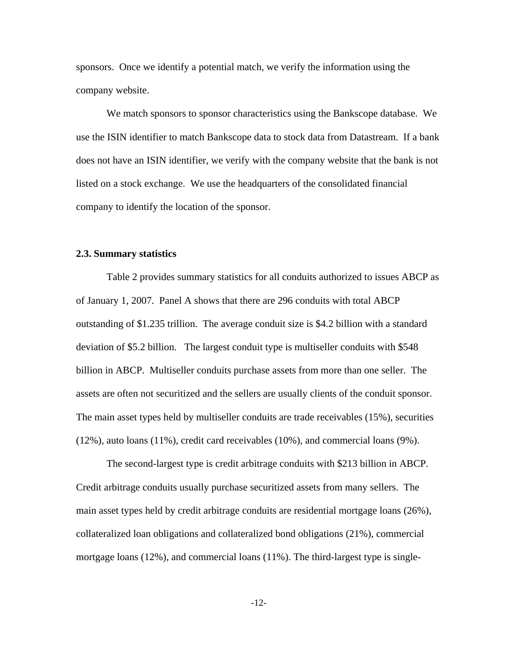sponsors. Once we identify a potential match, we verify the information using the company website.

We match sponsors to sponsor characteristics using the Bankscope database. We use the ISIN identifier to match Bankscope data to stock data from Datastream. If a bank does not have an ISIN identifier, we verify with the company website that the bank is not listed on a stock exchange. We use the headquarters of the consolidated financial company to identify the location of the sponsor.

#### **2.3. Summary statistics**

Table 2 provides summary statistics for all conduits authorized to issues ABCP as of January 1, 2007. Panel A shows that there are 296 conduits with total ABCP outstanding of \$1.235 trillion. The average conduit size is \$4.2 billion with a standard deviation of \$5.2 billion. The largest conduit type is multiseller conduits with \$548 billion in ABCP. Multiseller conduits purchase assets from more than one seller. The assets are often not securitized and the sellers are usually clients of the conduit sponsor. The main asset types held by multiseller conduits are trade receivables (15%), securities (12%), auto loans (11%), credit card receivables (10%), and commercial loans (9%).

The second-largest type is credit arbitrage conduits with \$213 billion in ABCP. Credit arbitrage conduits usually purchase securitized assets from many sellers. The main asset types held by credit arbitrage conduits are residential mortgage loans (26%), collateralized loan obligations and collateralized bond obligations (21%), commercial mortgage loans (12%), and commercial loans (11%). The third-largest type is single-

-12-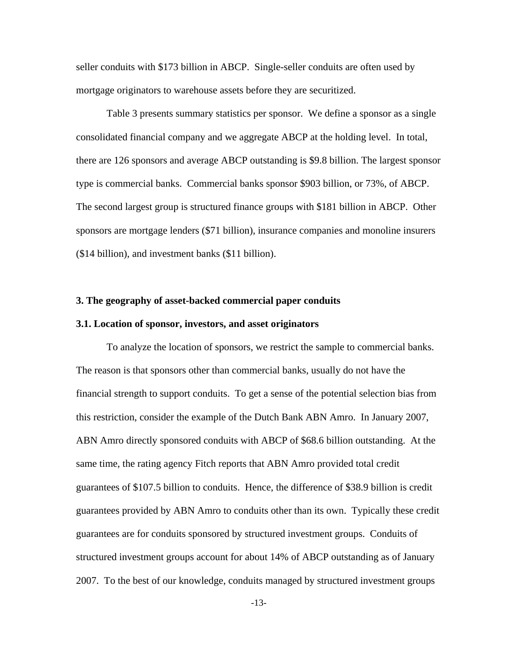seller conduits with \$173 billion in ABCP. Single-seller conduits are often used by mortgage originators to warehouse assets before they are securitized.

Table 3 presents summary statistics per sponsor. We define a sponsor as a single consolidated financial company and we aggregate ABCP at the holding level. In total, there are 126 sponsors and average ABCP outstanding is \$9.8 billion. The largest sponsor type is commercial banks. Commercial banks sponsor \$903 billion, or 73%, of ABCP. The second largest group is structured finance groups with \$181 billion in ABCP. Other sponsors are mortgage lenders (\$71 billion), insurance companies and monoline insurers (\$14 billion), and investment banks (\$11 billion).

## **3. The geography of asset-backed commercial paper conduits**

#### **3.1. Location of sponsor, investors, and asset originators**

To analyze the location of sponsors, we restrict the sample to commercial banks. The reason is that sponsors other than commercial banks, usually do not have the financial strength to support conduits. To get a sense of the potential selection bias from this restriction, consider the example of the Dutch Bank ABN Amro. In January 2007, ABN Amro directly sponsored conduits with ABCP of \$68.6 billion outstanding. At the same time, the rating agency Fitch reports that ABN Amro provided total credit guarantees of \$107.5 billion to conduits. Hence, the difference of \$38.9 billion is credit guarantees provided by ABN Amro to conduits other than its own. Typically these credit guarantees are for conduits sponsored by structured investment groups. Conduits of structured investment groups account for about 14% of ABCP outstanding as of January 2007. To the best of our knowledge, conduits managed by structured investment groups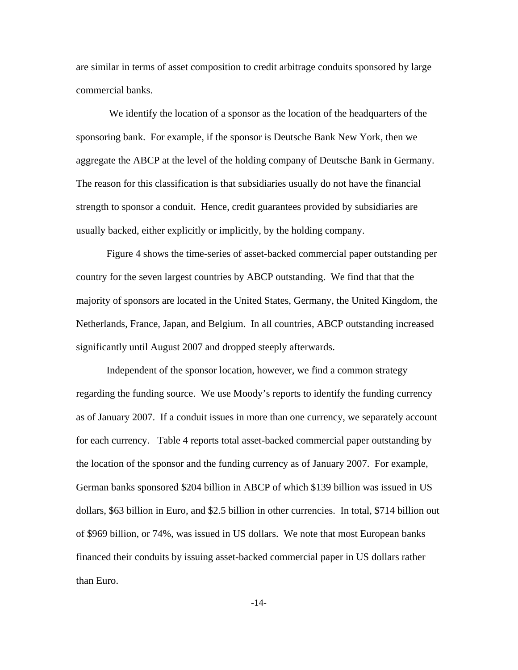are similar in terms of asset composition to credit arbitrage conduits sponsored by large commercial banks.

 We identify the location of a sponsor as the location of the headquarters of the sponsoring bank. For example, if the sponsor is Deutsche Bank New York, then we aggregate the ABCP at the level of the holding company of Deutsche Bank in Germany. The reason for this classification is that subsidiaries usually do not have the financial strength to sponsor a conduit. Hence, credit guarantees provided by subsidiaries are usually backed, either explicitly or implicitly, by the holding company.

Figure 4 shows the time-series of asset-backed commercial paper outstanding per country for the seven largest countries by ABCP outstanding. We find that that the majority of sponsors are located in the United States, Germany, the United Kingdom, the Netherlands, France, Japan, and Belgium. In all countries, ABCP outstanding increased significantly until August 2007 and dropped steeply afterwards.

Independent of the sponsor location, however, we find a common strategy regarding the funding source. We use Moody's reports to identify the funding currency as of January 2007. If a conduit issues in more than one currency, we separately account for each currency. Table 4 reports total asset-backed commercial paper outstanding by the location of the sponsor and the funding currency as of January 2007. For example, German banks sponsored \$204 billion in ABCP of which \$139 billion was issued in US dollars, \$63 billion in Euro, and \$2.5 billion in other currencies. In total, \$714 billion out of \$969 billion, or 74%, was issued in US dollars. We note that most European banks financed their conduits by issuing asset-backed commercial paper in US dollars rather than Euro.

-14-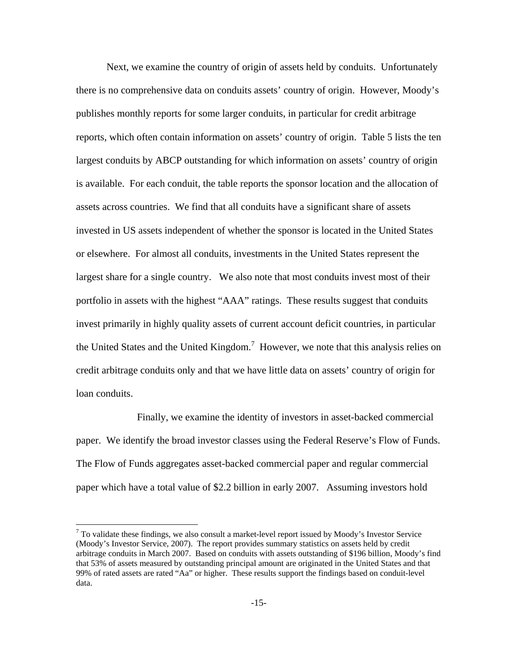Next, we examine the country of origin of assets held by conduits. Unfortunately there is no comprehensive data on conduits assets' country of origin. However, Moody's publishes monthly reports for some larger conduits, in particular for credit arbitrage reports, which often contain information on assets' country of origin. Table 5 lists the ten largest conduits by ABCP outstanding for which information on assets' country of origin is available. For each conduit, the table reports the sponsor location and the allocation of assets across countries. We find that all conduits have a significant share of assets invested in US assets independent of whether the sponsor is located in the United States or elsewhere. For almost all conduits, investments in the United States represent the largest share for a single country. We also note that most conduits invest most of their portfolio in assets with the highest "AAA" ratings. These results suggest that conduits invest primarily in highly quality assets of current account deficit countries, in particular the United States and the United Kingdom.<sup>7</sup> However, we note that this analysis relies on credit arbitrage conduits only and that we have little data on assets' country of origin for loan conduits.

 Finally, we examine the identity of investors in asset-backed commercial paper. We identify the broad investor classes using the Federal Reserve's Flow of Funds. The Flow of Funds aggregates asset-backed commercial paper and regular commercial paper which have a total value of \$2.2 billion in early 2007. Assuming investors hold

 $7$  To validate these findings, we also consult a market-level report issued by Moody's Investor Service (Moody's Investor Service, 2007). The report provides summary statistics on assets held by credit arbitrage conduits in March 2007. Based on conduits with assets outstanding of \$196 billion, Moody's find that 53% of assets measured by outstanding principal amount are originated in the United States and that 99% of rated assets are rated "Aa" or higher. These results support the findings based on conduit-level data.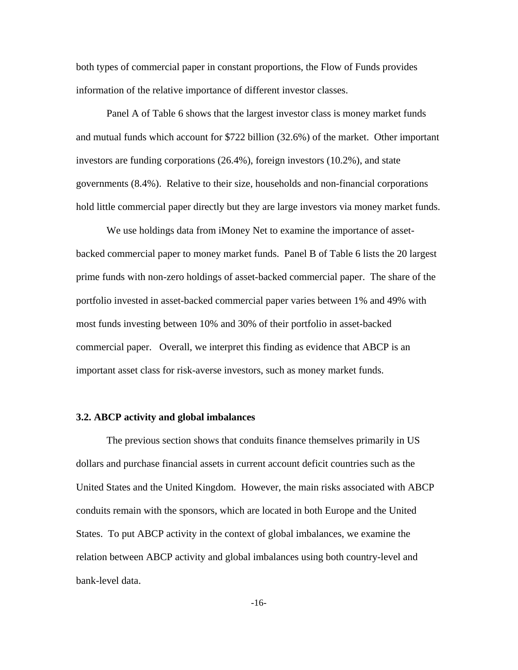both types of commercial paper in constant proportions, the Flow of Funds provides information of the relative importance of different investor classes.

Panel A of Table 6 shows that the largest investor class is money market funds and mutual funds which account for \$722 billion (32.6%) of the market. Other important investors are funding corporations (26.4%), foreign investors (10.2%), and state governments (8.4%). Relative to their size, households and non-financial corporations hold little commercial paper directly but they are large investors via money market funds.

We use holdings data from iMoney Net to examine the importance of assetbacked commercial paper to money market funds. Panel B of Table 6 lists the 20 largest prime funds with non-zero holdings of asset-backed commercial paper. The share of the portfolio invested in asset-backed commercial paper varies between 1% and 49% with most funds investing between 10% and 30% of their portfolio in asset-backed commercial paper. Overall, we interpret this finding as evidence that ABCP is an important asset class for risk-averse investors, such as money market funds.

#### **3.2. ABCP activity and global imbalances**

The previous section shows that conduits finance themselves primarily in US dollars and purchase financial assets in current account deficit countries such as the United States and the United Kingdom. However, the main risks associated with ABCP conduits remain with the sponsors, which are located in both Europe and the United States. To put ABCP activity in the context of global imbalances, we examine the relation between ABCP activity and global imbalances using both country-level and bank-level data.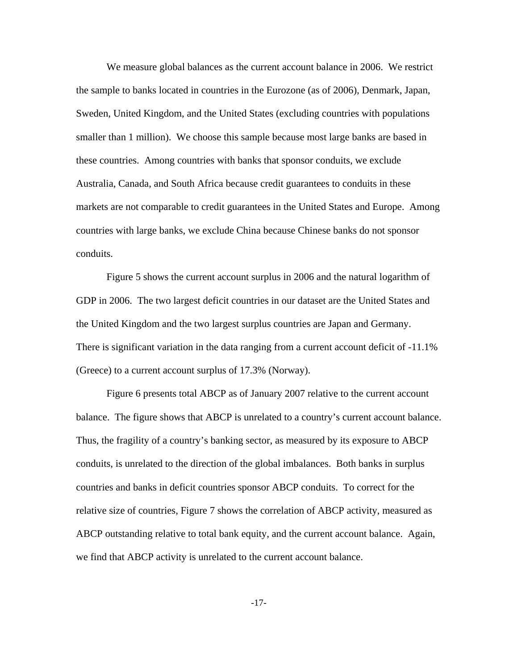We measure global balances as the current account balance in 2006. We restrict the sample to banks located in countries in the Eurozone (as of 2006), Denmark, Japan, Sweden, United Kingdom, and the United States (excluding countries with populations smaller than 1 million). We choose this sample because most large banks are based in these countries. Among countries with banks that sponsor conduits, we exclude Australia, Canada, and South Africa because credit guarantees to conduits in these markets are not comparable to credit guarantees in the United States and Europe. Among countries with large banks, we exclude China because Chinese banks do not sponsor conduits.

Figure 5 shows the current account surplus in 2006 and the natural logarithm of GDP in 2006. The two largest deficit countries in our dataset are the United States and the United Kingdom and the two largest surplus countries are Japan and Germany. There is significant variation in the data ranging from a current account deficit of -11.1% (Greece) to a current account surplus of 17.3% (Norway).

Figure 6 presents total ABCP as of January 2007 relative to the current account balance. The figure shows that ABCP is unrelated to a country's current account balance. Thus, the fragility of a country's banking sector, as measured by its exposure to ABCP conduits, is unrelated to the direction of the global imbalances. Both banks in surplus countries and banks in deficit countries sponsor ABCP conduits. To correct for the relative size of countries, Figure 7 shows the correlation of ABCP activity, measured as ABCP outstanding relative to total bank equity, and the current account balance. Again, we find that ABCP activity is unrelated to the current account balance.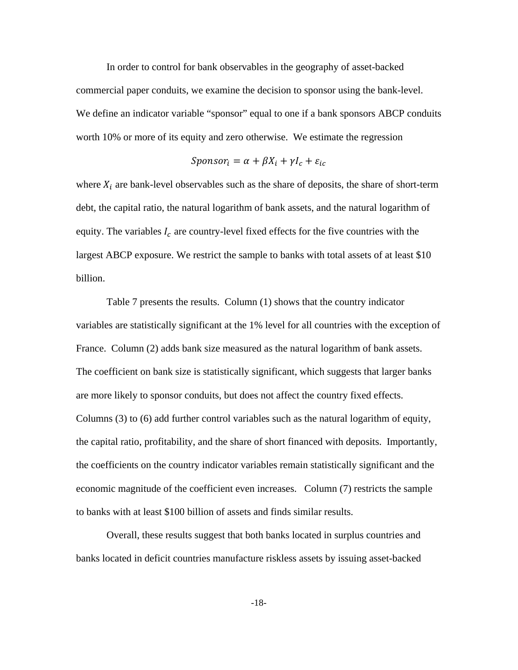In order to control for bank observables in the geography of asset-backed commercial paper conduits, we examine the decision to sponsor using the bank-level. We define an indicator variable "sponsor" equal to one if a bank sponsors ABCP conduits worth 10% or more of its equity and zero otherwise. We estimate the regression

$$
Sponsor_i = \alpha + \beta X_i + \gamma I_c + \varepsilon_{ic}
$$

where  $X_i$  are bank-level observables such as the share of deposits, the share of short-term debt, the capital ratio, the natural logarithm of bank assets, and the natural logarithm of equity. The variables  $I_c$  are country-level fixed effects for the five countries with the largest ABCP exposure. We restrict the sample to banks with total assets of at least \$10 billion.

 Table 7 presents the results. Column (1) shows that the country indicator variables are statistically significant at the 1% level for all countries with the exception of France. Column (2) adds bank size measured as the natural logarithm of bank assets. The coefficient on bank size is statistically significant, which suggests that larger banks are more likely to sponsor conduits, but does not affect the country fixed effects. Columns (3) to (6) add further control variables such as the natural logarithm of equity, the capital ratio, profitability, and the share of short financed with deposits. Importantly, the coefficients on the country indicator variables remain statistically significant and the economic magnitude of the coefficient even increases. Column (7) restricts the sample to banks with at least \$100 billion of assets and finds similar results.

 Overall, these results suggest that both banks located in surplus countries and banks located in deficit countries manufacture riskless assets by issuing asset-backed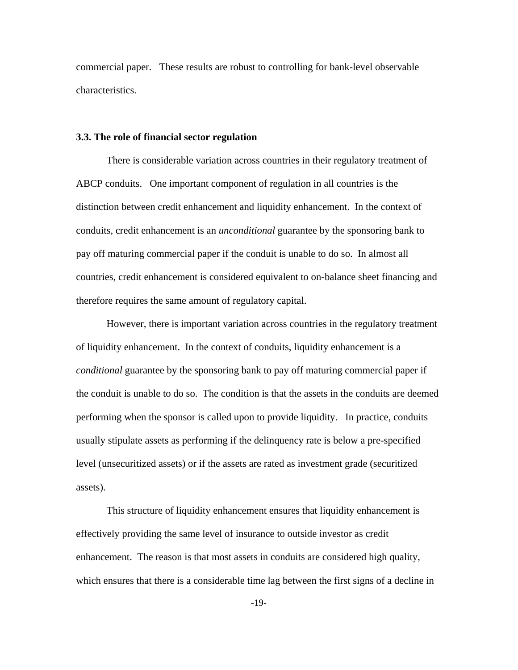commercial paper. These results are robust to controlling for bank-level observable characteristics.

## **3.3. The role of financial sector regulation**

There is considerable variation across countries in their regulatory treatment of ABCP conduits. One important component of regulation in all countries is the distinction between credit enhancement and liquidity enhancement. In the context of conduits, credit enhancement is an *unconditional* guarantee by the sponsoring bank to pay off maturing commercial paper if the conduit is unable to do so. In almost all countries, credit enhancement is considered equivalent to on-balance sheet financing and therefore requires the same amount of regulatory capital.

However, there is important variation across countries in the regulatory treatment of liquidity enhancement. In the context of conduits, liquidity enhancement is a *conditional* guarantee by the sponsoring bank to pay off maturing commercial paper if the conduit is unable to do so. The condition is that the assets in the conduits are deemed performing when the sponsor is called upon to provide liquidity. In practice, conduits usually stipulate assets as performing if the delinquency rate is below a pre-specified level (unsecuritized assets) or if the assets are rated as investment grade (securitized assets).

This structure of liquidity enhancement ensures that liquidity enhancement is effectively providing the same level of insurance to outside investor as credit enhancement. The reason is that most assets in conduits are considered high quality, which ensures that there is a considerable time lag between the first signs of a decline in

-19-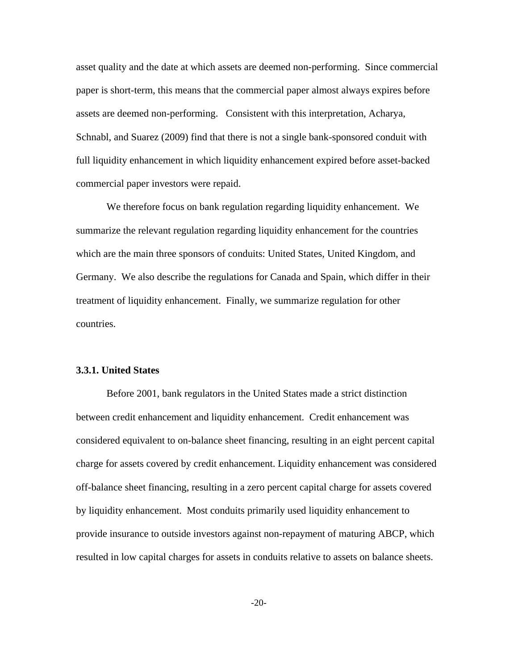asset quality and the date at which assets are deemed non-performing. Since commercial paper is short-term, this means that the commercial paper almost always expires before assets are deemed non-performing. Consistent with this interpretation, Acharya, Schnabl, and Suarez (2009) find that there is not a single bank-sponsored conduit with full liquidity enhancement in which liquidity enhancement expired before asset-backed commercial paper investors were repaid.

We therefore focus on bank regulation regarding liquidity enhancement. We summarize the relevant regulation regarding liquidity enhancement for the countries which are the main three sponsors of conduits: United States, United Kingdom, and Germany. We also describe the regulations for Canada and Spain, which differ in their treatment of liquidity enhancement. Finally, we summarize regulation for other countries.

## **3.3.1. United States**

Before 2001, bank regulators in the United States made a strict distinction between credit enhancement and liquidity enhancement. Credit enhancement was considered equivalent to on-balance sheet financing, resulting in an eight percent capital charge for assets covered by credit enhancement. Liquidity enhancement was considered off-balance sheet financing, resulting in a zero percent capital charge for assets covered by liquidity enhancement. Most conduits primarily used liquidity enhancement to provide insurance to outside investors against non-repayment of maturing ABCP, which resulted in low capital charges for assets in conduits relative to assets on balance sheets.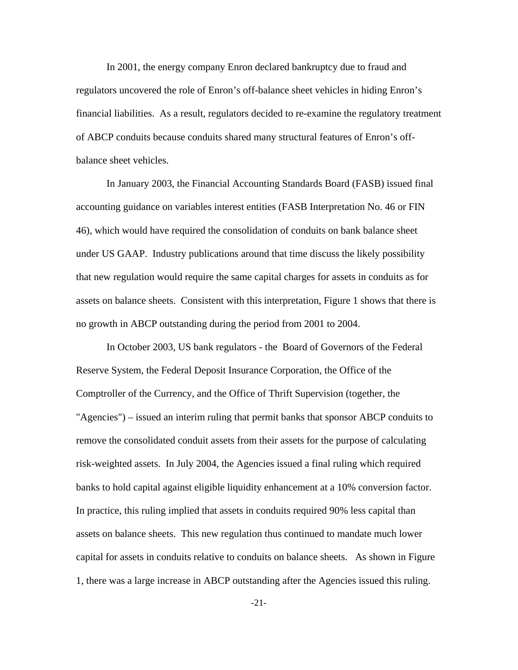In 2001, the energy company Enron declared bankruptcy due to fraud and regulators uncovered the role of Enron's off-balance sheet vehicles in hiding Enron's financial liabilities. As a result, regulators decided to re-examine the regulatory treatment of ABCP conduits because conduits shared many structural features of Enron's offbalance sheet vehicles.

In January 2003, the Financial Accounting Standards Board (FASB) issued final accounting guidance on variables interest entities (FASB Interpretation No. 46 or FIN 46), which would have required the consolidation of conduits on bank balance sheet under US GAAP. Industry publications around that time discuss the likely possibility that new regulation would require the same capital charges for assets in conduits as for assets on balance sheets. Consistent with this interpretation, Figure 1 shows that there is no growth in ABCP outstanding during the period from 2001 to 2004.

In October 2003, US bank regulators - the Board of Governors of the Federal Reserve System, the Federal Deposit Insurance Corporation, the Office of the Comptroller of the Currency, and the Office of Thrift Supervision (together, the "Agencies") – issued an interim ruling that permit banks that sponsor ABCP conduits to remove the consolidated conduit assets from their assets for the purpose of calculating risk-weighted assets. In July 2004, the Agencies issued a final ruling which required banks to hold capital against eligible liquidity enhancement at a 10% conversion factor. In practice, this ruling implied that assets in conduits required 90% less capital than assets on balance sheets. This new regulation thus continued to mandate much lower capital for assets in conduits relative to conduits on balance sheets. As shown in Figure 1, there was a large increase in ABCP outstanding after the Agencies issued this ruling.

-21-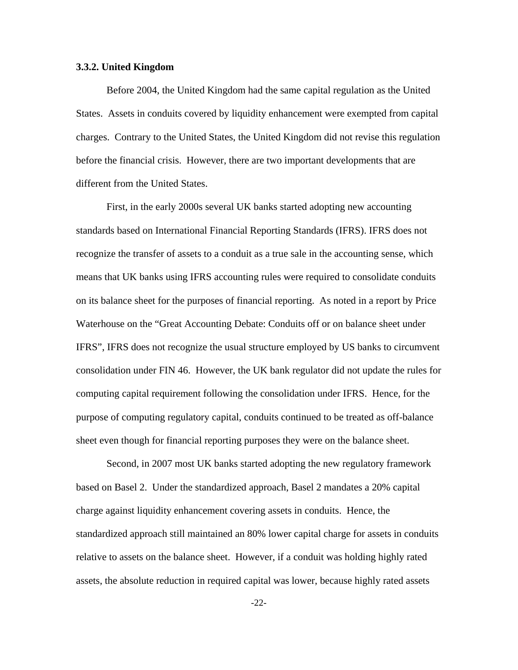#### **3.3.2. United Kingdom**

Before 2004, the United Kingdom had the same capital regulation as the United States. Assets in conduits covered by liquidity enhancement were exempted from capital charges. Contrary to the United States, the United Kingdom did not revise this regulation before the financial crisis. However, there are two important developments that are different from the United States.

First, in the early 2000s several UK banks started adopting new accounting standards based on International Financial Reporting Standards (IFRS). IFRS does not recognize the transfer of assets to a conduit as a true sale in the accounting sense, which means that UK banks using IFRS accounting rules were required to consolidate conduits on its balance sheet for the purposes of financial reporting. As noted in a report by Price Waterhouse on the "Great Accounting Debate: Conduits off or on balance sheet under IFRS", IFRS does not recognize the usual structure employed by US banks to circumvent consolidation under FIN 46. However, the UK bank regulator did not update the rules for computing capital requirement following the consolidation under IFRS. Hence, for the purpose of computing regulatory capital, conduits continued to be treated as off-balance sheet even though for financial reporting purposes they were on the balance sheet.

Second, in 2007 most UK banks started adopting the new regulatory framework based on Basel 2. Under the standardized approach, Basel 2 mandates a 20% capital charge against liquidity enhancement covering assets in conduits. Hence, the standardized approach still maintained an 80% lower capital charge for assets in conduits relative to assets on the balance sheet. However, if a conduit was holding highly rated assets, the absolute reduction in required capital was lower, because highly rated assets

-22-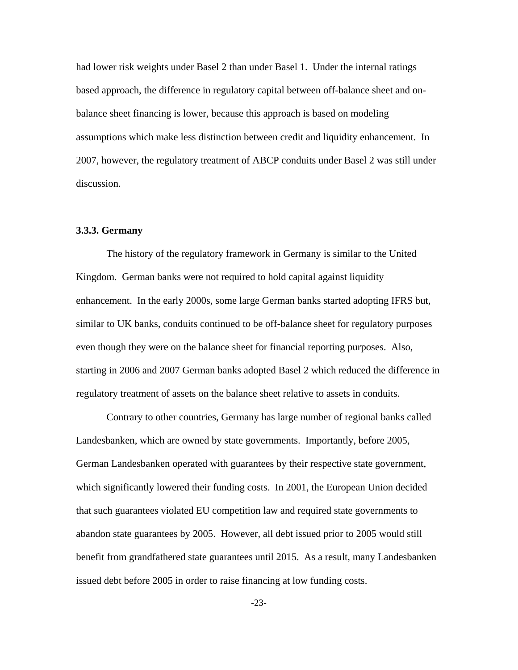had lower risk weights under Basel 2 than under Basel 1. Under the internal ratings based approach, the difference in regulatory capital between off-balance sheet and onbalance sheet financing is lower, because this approach is based on modeling assumptions which make less distinction between credit and liquidity enhancement. In 2007, however, the regulatory treatment of ABCP conduits under Basel 2 was still under discussion.

#### **3.3.3. Germany**

The history of the regulatory framework in Germany is similar to the United Kingdom. German banks were not required to hold capital against liquidity enhancement. In the early 2000s, some large German banks started adopting IFRS but, similar to UK banks, conduits continued to be off-balance sheet for regulatory purposes even though they were on the balance sheet for financial reporting purposes. Also, starting in 2006 and 2007 German banks adopted Basel 2 which reduced the difference in regulatory treatment of assets on the balance sheet relative to assets in conduits.

Contrary to other countries, Germany has large number of regional banks called Landesbanken, which are owned by state governments. Importantly, before 2005, German Landesbanken operated with guarantees by their respective state government, which significantly lowered their funding costs. In 2001, the European Union decided that such guarantees violated EU competition law and required state governments to abandon state guarantees by 2005. However, all debt issued prior to 2005 would still benefit from grandfathered state guarantees until 2015. As a result, many Landesbanken issued debt before 2005 in order to raise financing at low funding costs.

-23-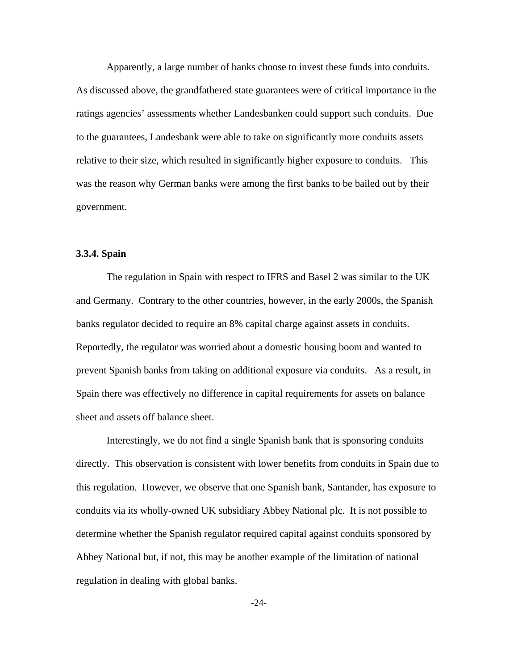Apparently, a large number of banks choose to invest these funds into conduits. As discussed above, the grandfathered state guarantees were of critical importance in the ratings agencies' assessments whether Landesbanken could support such conduits. Due to the guarantees, Landesbank were able to take on significantly more conduits assets relative to their size, which resulted in significantly higher exposure to conduits. This was the reason why German banks were among the first banks to be bailed out by their government.

# **3.3.4. Spain**

 The regulation in Spain with respect to IFRS and Basel 2 was similar to the UK and Germany. Contrary to the other countries, however, in the early 2000s, the Spanish banks regulator decided to require an 8% capital charge against assets in conduits. Reportedly, the regulator was worried about a domestic housing boom and wanted to prevent Spanish banks from taking on additional exposure via conduits. As a result, in Spain there was effectively no difference in capital requirements for assets on balance sheet and assets off balance sheet.

 Interestingly, we do not find a single Spanish bank that is sponsoring conduits directly. This observation is consistent with lower benefits from conduits in Spain due to this regulation. However, we observe that one Spanish bank, Santander, has exposure to conduits via its wholly-owned UK subsidiary Abbey National plc. It is not possible to determine whether the Spanish regulator required capital against conduits sponsored by Abbey National but, if not, this may be another example of the limitation of national regulation in dealing with global banks.

-24-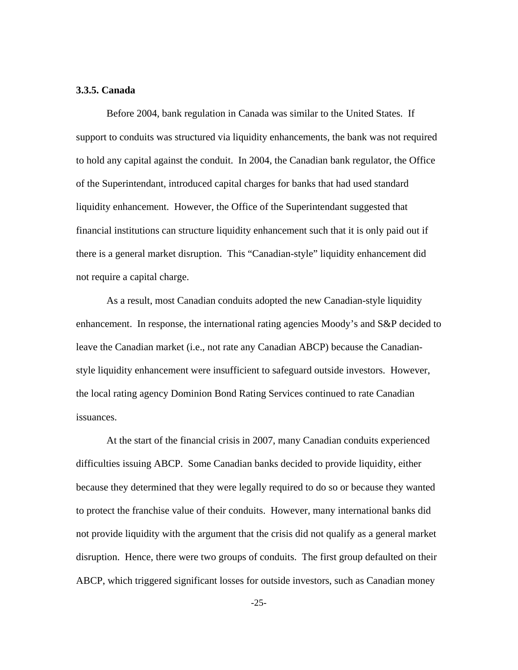## **3.3.5. Canada**

 Before 2004, bank regulation in Canada was similar to the United States. If support to conduits was structured via liquidity enhancements, the bank was not required to hold any capital against the conduit. In 2004, the Canadian bank regulator, the Office of the Superintendant, introduced capital charges for banks that had used standard liquidity enhancement. However, the Office of the Superintendant suggested that financial institutions can structure liquidity enhancement such that it is only paid out if there is a general market disruption. This "Canadian-style" liquidity enhancement did not require a capital charge.

 As a result, most Canadian conduits adopted the new Canadian-style liquidity enhancement. In response, the international rating agencies Moody's and S&P decided to leave the Canadian market (i.e., not rate any Canadian ABCP) because the Canadianstyle liquidity enhancement were insufficient to safeguard outside investors. However, the local rating agency Dominion Bond Rating Services continued to rate Canadian issuances.

 At the start of the financial crisis in 2007, many Canadian conduits experienced difficulties issuing ABCP. Some Canadian banks decided to provide liquidity, either because they determined that they were legally required to do so or because they wanted to protect the franchise value of their conduits. However, many international banks did not provide liquidity with the argument that the crisis did not qualify as a general market disruption. Hence, there were two groups of conduits. The first group defaulted on their ABCP, which triggered significant losses for outside investors, such as Canadian money

-25-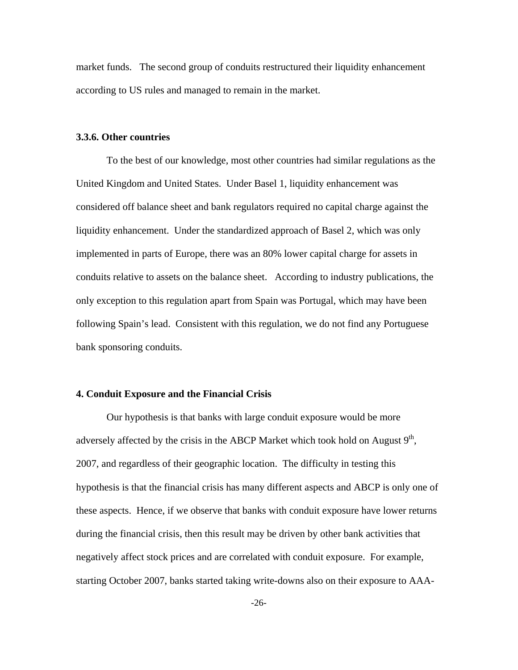market funds. The second group of conduits restructured their liquidity enhancement according to US rules and managed to remain in the market.

## **3.3.6. Other countries**

 To the best of our knowledge, most other countries had similar regulations as the United Kingdom and United States. Under Basel 1, liquidity enhancement was considered off balance sheet and bank regulators required no capital charge against the liquidity enhancement. Under the standardized approach of Basel 2, which was only implemented in parts of Europe, there was an 80% lower capital charge for assets in conduits relative to assets on the balance sheet. According to industry publications, the only exception to this regulation apart from Spain was Portugal, which may have been following Spain's lead. Consistent with this regulation, we do not find any Portuguese bank sponsoring conduits.

## **4. Conduit Exposure and the Financial Crisis**

Our hypothesis is that banks with large conduit exposure would be more adversely affected by the crisis in the ABCP Market which took hold on August  $9<sup>th</sup>$ , 2007, and regardless of their geographic location. The difficulty in testing this hypothesis is that the financial crisis has many different aspects and ABCP is only one of these aspects. Hence, if we observe that banks with conduit exposure have lower returns during the financial crisis, then this result may be driven by other bank activities that negatively affect stock prices and are correlated with conduit exposure. For example, starting October 2007, banks started taking write-downs also on their exposure to AAA-

-26-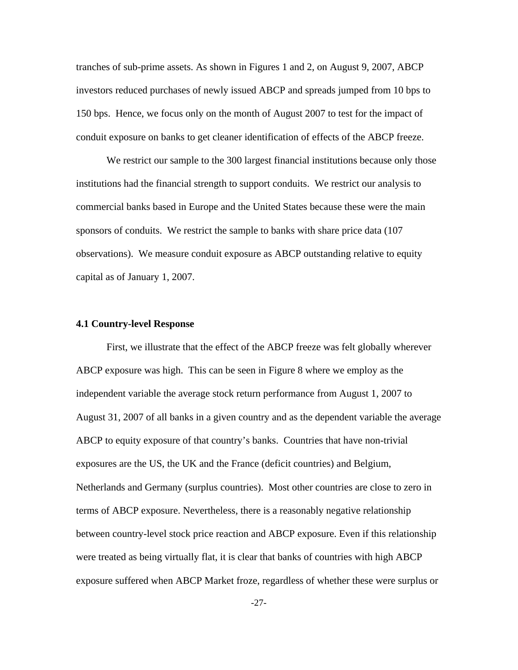tranches of sub-prime assets. As shown in Figures 1 and 2, on August 9, 2007, ABCP investors reduced purchases of newly issued ABCP and spreads jumped from 10 bps to 150 bps. Hence, we focus only on the month of August 2007 to test for the impact of conduit exposure on banks to get cleaner identification of effects of the ABCP freeze.

We restrict our sample to the 300 largest financial institutions because only those institutions had the financial strength to support conduits. We restrict our analysis to commercial banks based in Europe and the United States because these were the main sponsors of conduits. We restrict the sample to banks with share price data (107 observations). We measure conduit exposure as ABCP outstanding relative to equity capital as of January 1, 2007.

#### **4.1 Country-level Response**

First, we illustrate that the effect of the ABCP freeze was felt globally wherever ABCP exposure was high. This can be seen in Figure 8 where we employ as the independent variable the average stock return performance from August 1, 2007 to August 31, 2007 of all banks in a given country and as the dependent variable the average ABCP to equity exposure of that country's banks. Countries that have non-trivial exposures are the US, the UK and the France (deficit countries) and Belgium, Netherlands and Germany (surplus countries). Most other countries are close to zero in terms of ABCP exposure. Nevertheless, there is a reasonably negative relationship between country-level stock price reaction and ABCP exposure. Even if this relationship were treated as being virtually flat, it is clear that banks of countries with high ABCP exposure suffered when ABCP Market froze, regardless of whether these were surplus or

-27-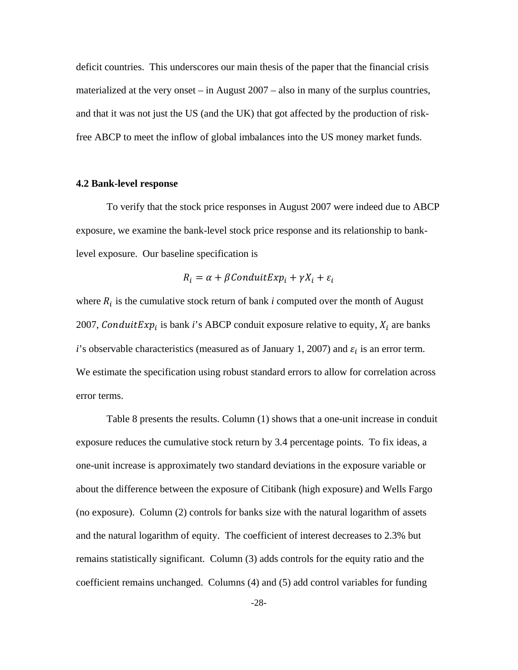deficit countries. This underscores our main thesis of the paper that the financial crisis materialized at the very onset – in August 2007 – also in many of the surplus countries, and that it was not just the US (and the UK) that got affected by the production of riskfree ABCP to meet the inflow of global imbalances into the US money market funds.

## **4.2 Bank-level response**

 To verify that the stock price responses in August 2007 were indeed due to ABCP exposure, we examine the bank-level stock price response and its relationship to banklevel exposure. Our baseline specification is

$$
R_i = \alpha + \beta \text{Conduit} \exp_i + \gamma X_i + \varepsilon_i
$$

where  $R_i$  is the cumulative stock return of bank *i* computed over the month of August 2007, Conduit Exp<sub>i</sub> is bank *i*'s ABCP conduit exposure relative to equity,  $X_i$  are banks *i*'s observable characteristics (measured as of January 1, 2007) and  $\varepsilon_i$  is an error term. We estimate the specification using robust standard errors to allow for correlation across error terms.

 Table 8 presents the results. Column (1) shows that a one-unit increase in conduit exposure reduces the cumulative stock return by 3.4 percentage points. To fix ideas, a one-unit increase is approximately two standard deviations in the exposure variable or about the difference between the exposure of Citibank (high exposure) and Wells Fargo (no exposure). Column (2) controls for banks size with the natural logarithm of assets and the natural logarithm of equity. The coefficient of interest decreases to 2.3% but remains statistically significant. Column (3) adds controls for the equity ratio and the coefficient remains unchanged. Columns (4) and (5) add control variables for funding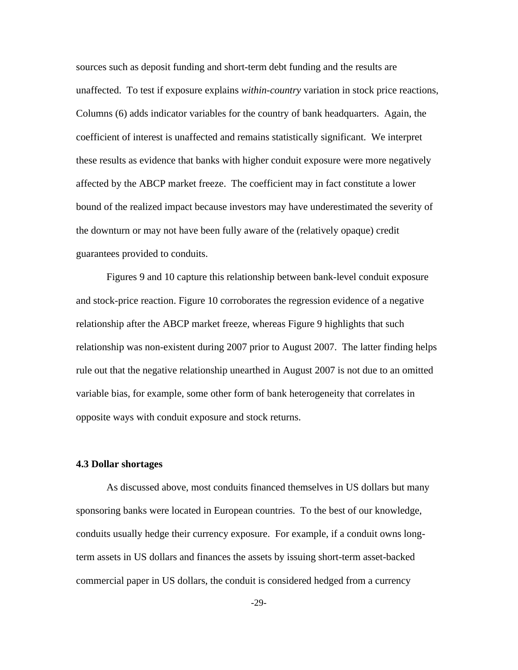sources such as deposit funding and short-term debt funding and the results are unaffected. To test if exposure explains *within-country* variation in stock price reactions, Columns (6) adds indicator variables for the country of bank headquarters. Again, the coefficient of interest is unaffected and remains statistically significant. We interpret these results as evidence that banks with higher conduit exposure were more negatively affected by the ABCP market freeze. The coefficient may in fact constitute a lower bound of the realized impact because investors may have underestimated the severity of the downturn or may not have been fully aware of the (relatively opaque) credit guarantees provided to conduits.

 Figures 9 and 10 capture this relationship between bank-level conduit exposure and stock-price reaction. Figure 10 corroborates the regression evidence of a negative relationship after the ABCP market freeze, whereas Figure 9 highlights that such relationship was non-existent during 2007 prior to August 2007. The latter finding helps rule out that the negative relationship unearthed in August 2007 is not due to an omitted variable bias, for example, some other form of bank heterogeneity that correlates in opposite ways with conduit exposure and stock returns.

#### **4.3 Dollar shortages**

As discussed above, most conduits financed themselves in US dollars but many sponsoring banks were located in European countries. To the best of our knowledge, conduits usually hedge their currency exposure. For example, if a conduit owns longterm assets in US dollars and finances the assets by issuing short-term asset-backed commercial paper in US dollars, the conduit is considered hedged from a currency

-29-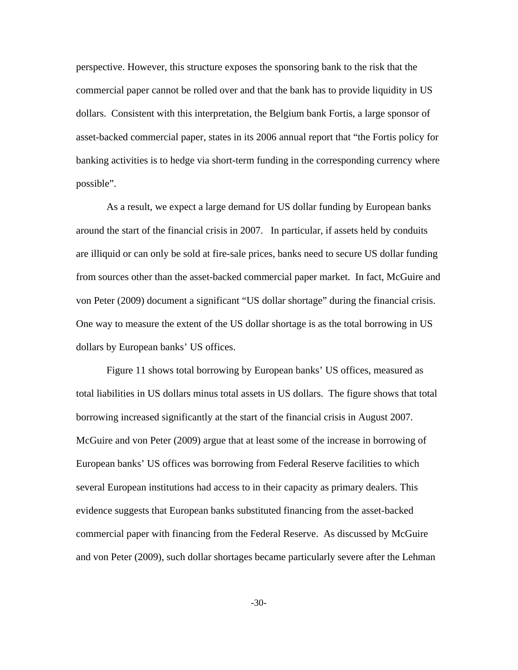perspective. However, this structure exposes the sponsoring bank to the risk that the commercial paper cannot be rolled over and that the bank has to provide liquidity in US dollars. Consistent with this interpretation, the Belgium bank Fortis, a large sponsor of asset-backed commercial paper, states in its 2006 annual report that "the Fortis policy for banking activities is to hedge via short-term funding in the corresponding currency where possible".

As a result, we expect a large demand for US dollar funding by European banks around the start of the financial crisis in 2007. In particular, if assets held by conduits are illiquid or can only be sold at fire-sale prices, banks need to secure US dollar funding from sources other than the asset-backed commercial paper market. In fact, McGuire and von Peter (2009) document a significant "US dollar shortage" during the financial crisis. One way to measure the extent of the US dollar shortage is as the total borrowing in US dollars by European banks' US offices.

Figure 11 shows total borrowing by European banks' US offices, measured as total liabilities in US dollars minus total assets in US dollars. The figure shows that total borrowing increased significantly at the start of the financial crisis in August 2007. McGuire and von Peter (2009) argue that at least some of the increase in borrowing of European banks' US offices was borrowing from Federal Reserve facilities to which several European institutions had access to in their capacity as primary dealers. This evidence suggests that European banks substituted financing from the asset-backed commercial paper with financing from the Federal Reserve. As discussed by McGuire and von Peter (2009), such dollar shortages became particularly severe after the Lehman

-30-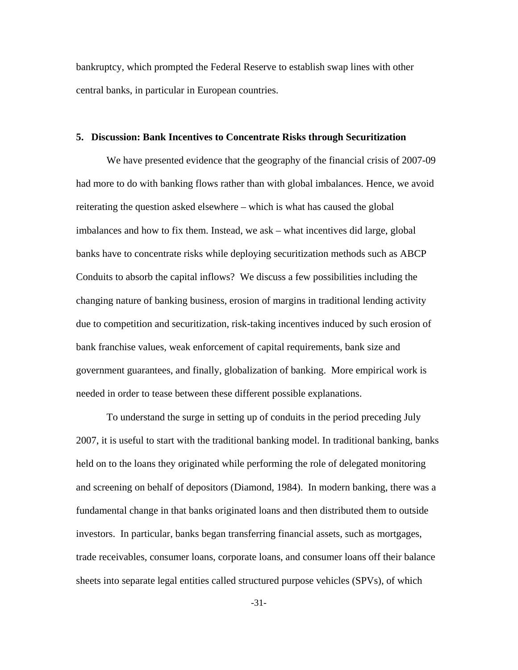bankruptcy, which prompted the Federal Reserve to establish swap lines with other central banks, in particular in European countries.

#### **5. Discussion: Bank Incentives to Concentrate Risks through Securitization**

 We have presented evidence that the geography of the financial crisis of 2007-09 had more to do with banking flows rather than with global imbalances. Hence, we avoid reiterating the question asked elsewhere – which is what has caused the global imbalances and how to fix them. Instead, we ask – what incentives did large, global banks have to concentrate risks while deploying securitization methods such as ABCP Conduits to absorb the capital inflows? We discuss a few possibilities including the changing nature of banking business, erosion of margins in traditional lending activity due to competition and securitization, risk-taking incentives induced by such erosion of bank franchise values, weak enforcement of capital requirements, bank size and government guarantees, and finally, globalization of banking. More empirical work is needed in order to tease between these different possible explanations.

To understand the surge in setting up of conduits in the period preceding July 2007, it is useful to start with the traditional banking model. In traditional banking, banks held on to the loans they originated while performing the role of delegated monitoring and screening on behalf of depositors (Diamond, 1984). In modern banking, there was a fundamental change in that banks originated loans and then distributed them to outside investors. In particular, banks began transferring financial assets, such as mortgages, trade receivables, consumer loans, corporate loans, and consumer loans off their balance sheets into separate legal entities called structured purpose vehicles (SPVs), of which

-31-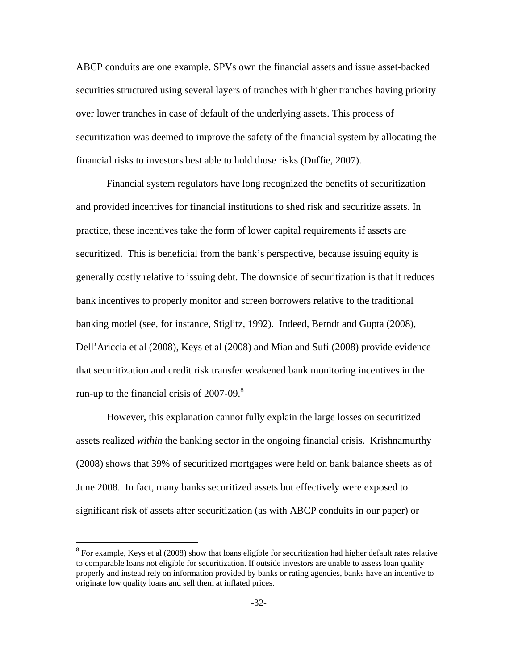ABCP conduits are one example. SPVs own the financial assets and issue asset-backed securities structured using several layers of tranches with higher tranches having priority over lower tranches in case of default of the underlying assets. This process of securitization was deemed to improve the safety of the financial system by allocating the financial risks to investors best able to hold those risks (Duffie, 2007).

Financial system regulators have long recognized the benefits of securitization and provided incentives for financial institutions to shed risk and securitize assets. In practice, these incentives take the form of lower capital requirements if assets are securitized. This is beneficial from the bank's perspective, because issuing equity is generally costly relative to issuing debt. The downside of securitization is that it reduces bank incentives to properly monitor and screen borrowers relative to the traditional banking model (see, for instance, Stiglitz, 1992). Indeed, Berndt and Gupta (2008), Dell'Ariccia et al (2008), Keys et al (2008) and Mian and Sufi (2008) provide evidence that securitization and credit risk transfer weakened bank monitoring incentives in the run-up to the financial crisis of  $2007-09$ .<sup>8</sup>

However, this explanation cannot fully explain the large losses on securitized assets realized *within* the banking sector in the ongoing financial crisis. Krishnamurthy (2008) shows that 39% of securitized mortgages were held on bank balance sheets as of June 2008. In fact, many banks securitized assets but effectively were exposed to significant risk of assets after securitization (as with ABCP conduits in our paper) or

<sup>&</sup>lt;sup>8</sup> For example, Keys et al (2008) show that loans eligible for securitization had higher default rates relative to comparable loans not eligible for securitization. If outside investors are unable to assess loan quality properly and instead rely on information provided by banks or rating agencies, banks have an incentive to originate low quality loans and sell them at inflated prices.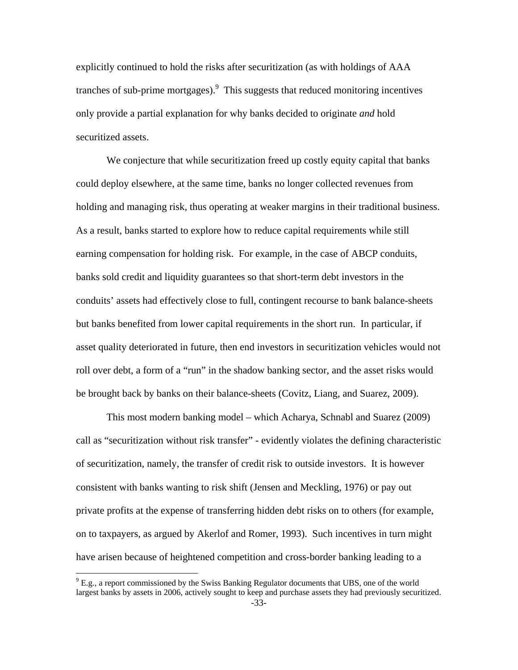explicitly continued to hold the risks after securitization (as with holdings of AAA tranches of sub-prime mortgages). $9$  This suggests that reduced monitoring incentives only provide a partial explanation for why banks decided to originate *and* hold securitized assets.

We conjecture that while securitization freed up costly equity capital that banks could deploy elsewhere, at the same time, banks no longer collected revenues from holding and managing risk, thus operating at weaker margins in their traditional business. As a result, banks started to explore how to reduce capital requirements while still earning compensation for holding risk. For example, in the case of ABCP conduits, banks sold credit and liquidity guarantees so that short-term debt investors in the conduits' assets had effectively close to full, contingent recourse to bank balance-sheets but banks benefited from lower capital requirements in the short run. In particular, if asset quality deteriorated in future, then end investors in securitization vehicles would not roll over debt, a form of a "run" in the shadow banking sector, and the asset risks would be brought back by banks on their balance-sheets (Covitz, Liang, and Suarez, 2009).

This most modern banking model – which Acharya, Schnabl and Suarez (2009) call as "securitization without risk transfer" - evidently violates the defining characteristic of securitization, namely, the transfer of credit risk to outside investors. It is however consistent with banks wanting to risk shift (Jensen and Meckling, 1976) or pay out private profits at the expense of transferring hidden debt risks on to others (for example, on to taxpayers, as argued by Akerlof and Romer, 1993). Such incentives in turn might have arisen because of heightened competition and cross-border banking leading to a

 $9^9$  E.g., a report commissioned by the Swiss Banking Regulator documents that UBS, one of the world largest banks by assets in 2006, actively sought to keep and purchase assets they had previously securitized.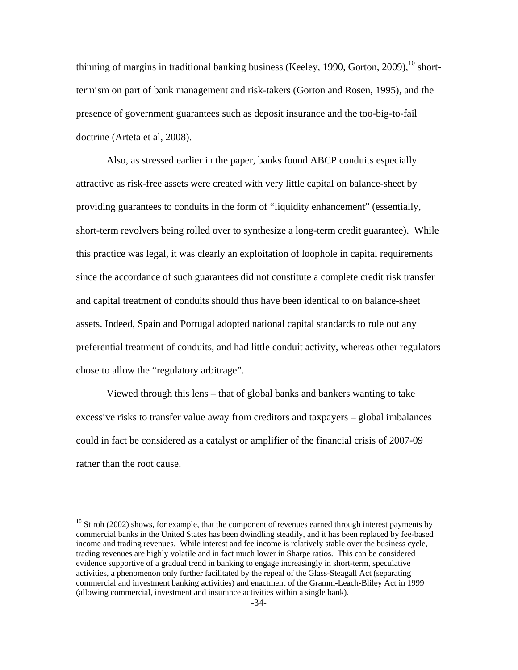thinning of margins in traditional banking business (Keeley, 1990, Gorton, 2009),  $^{10}$  shorttermism on part of bank management and risk-takers (Gorton and Rosen, 1995), and the presence of government guarantees such as deposit insurance and the too-big-to-fail doctrine (Arteta et al, 2008).

Also, as stressed earlier in the paper, banks found ABCP conduits especially attractive as risk-free assets were created with very little capital on balance-sheet by providing guarantees to conduits in the form of "liquidity enhancement" (essentially, short-term revolvers being rolled over to synthesize a long-term credit guarantee). While this practice was legal, it was clearly an exploitation of loophole in capital requirements since the accordance of such guarantees did not constitute a complete credit risk transfer and capital treatment of conduits should thus have been identical to on balance-sheet assets. Indeed, Spain and Portugal adopted national capital standards to rule out any preferential treatment of conduits, and had little conduit activity, whereas other regulators chose to allow the "regulatory arbitrage".

Viewed through this lens – that of global banks and bankers wanting to take excessive risks to transfer value away from creditors and taxpayers – global imbalances could in fact be considered as a catalyst or amplifier of the financial crisis of 2007-09 rather than the root cause.

 $10$  Stiroh (2002) shows, for example, that the component of revenues earned through interest payments by commercial banks in the United States has been dwindling steadily, and it has been replaced by fee-based income and trading revenues. While interest and fee income is relatively stable over the business cycle, trading revenues are highly volatile and in fact much lower in Sharpe ratios. This can be considered evidence supportive of a gradual trend in banking to engage increasingly in short-term, speculative activities, a phenomenon only further facilitated by the repeal of the Glass-Steagall Act (separating commercial and investment banking activities) and enactment of the Gramm-Leach-Bliley Act in 1999 (allowing commercial, investment and insurance activities within a single bank).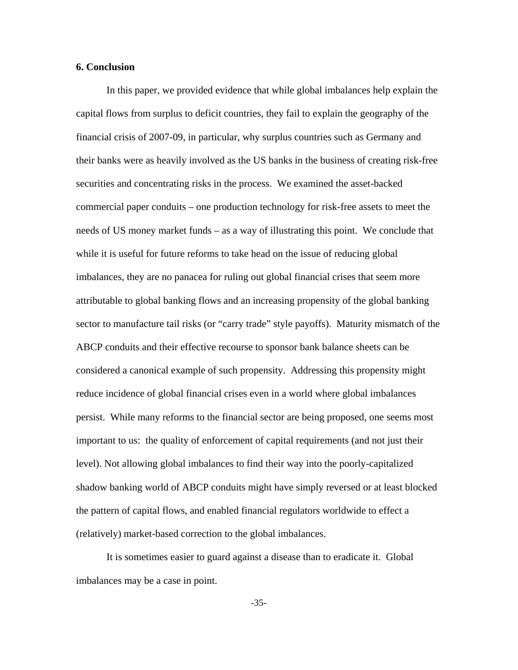## **6. Conclusion**

In this paper, we provided evidence that while global imbalances help explain the capital flows from surplus to deficit countries, they fail to explain the geography of the financial crisis of 2007-09, in particular, why surplus countries such as Germany and their banks were as heavily involved as the US banks in the business of creating risk-free securities and concentrating risks in the process. We examined the asset-backed commercial paper conduits – one production technology for risk-free assets to meet the needs of US money market funds – as a way of illustrating this point. We conclude that while it is useful for future reforms to take head on the issue of reducing global imbalances, they are no panacea for ruling out global financial crises that seem more attributable to global banking flows and an increasing propensity of the global banking sector to manufacture tail risks (or "carry trade" style payoffs). Maturity mismatch of the ABCP conduits and their effective recourse to sponsor bank balance sheets can be considered a canonical example of such propensity. Addressing this propensity might reduce incidence of global financial crises even in a world where global imbalances persist. While many reforms to the financial sector are being proposed, one seems most important to us: the quality of enforcement of capital requirements (and not just their level). Not allowing global imbalances to find their way into the poorly-capitalized shadow banking world of ABCP conduits might have simply reversed or at least blocked the pattern of capital flows, and enabled financial regulators worldwide to effect a (relatively) market-based correction to the global imbalances.

It is sometimes easier to guard against a disease than to eradicate it. Global imbalances may be a case in point.

-35-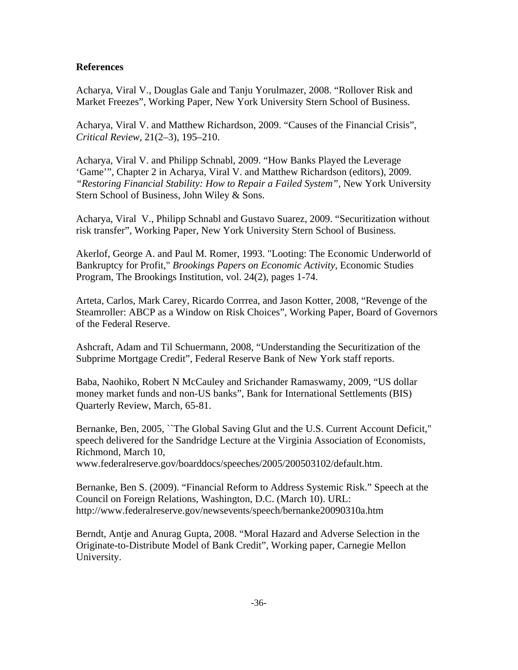# **References**

Acharya, Viral V., Douglas Gale and Tanju Yorulmazer, 2008. "Rollover Risk and Market Freezes", Working Paper, New York University Stern School of Business.

Acharya, Viral V. and Matthew Richardson, 2009. "Causes of the Financial Crisis", *Critical Review,* 21(2–3), 195–210.

Acharya, Viral V. and Philipp Schnabl, 2009. "How Banks Played the Leverage 'Game'", Chapter 2 in Acharya, Viral V. and Matthew Richardson (editors), 2009. *"Restoring Financial Stability: How to Repair a Failed System",* New York University Stern School of Business, John Wiley & Sons.

Acharya, Viral V., Philipp Schnabl and Gustavo Suarez, 2009. "Securitization without risk transfer", Working Paper, New York University Stern School of Business.

Akerlof, George A. and Paul M. Romer, 1993. "Looting: The Economic Underworld of Bankruptcy for Profit," *Brookings Papers on Economic Activity,* Economic Studies Program, The Brookings Institution, vol. 24(2), pages 1-74.

Arteta, Carlos, Mark Carey, Ricardo Corrrea, and Jason Kotter, 2008, "Revenge of the Steamroller: ABCP as a Window on Risk Choices", Working Paper, Board of Governors of the Federal Reserve.

Ashcraft, Adam and Til Schuermann, 2008, "Understanding the Securitization of the Subprime Mortgage Credit", Federal Reserve Bank of New York staff reports.

Baba, Naohiko, Robert N McCauley and Srichander Ramaswamy, 2009, "US dollar money market funds and non-US banks", Bank for International Settlements (BIS) Quarterly Review, March, 65-81.

Bernanke, Ben, 2005, ``The Global Saving Glut and the U.S. Current Account Deficit," speech delivered for the Sandridge Lecture at the Virginia Association of Economists, Richmond, March 10,

www.federalreserve.gov/boarddocs/speeches/2005/200503102/default.htm.

Bernanke, Ben S. (2009). "Financial Reform to Address Systemic Risk." Speech at the Council on Foreign Relations, Washington, D.C. (March 10). URL: http://www.federalreserve.gov/newsevents/speech/bernanke20090310a.htm

Berndt, Antje and Anurag Gupta, 2008. "Moral Hazard and Adverse Selection in the Originate-to-Distribute Model of Bank Credit", Working paper, Carnegie Mellon University.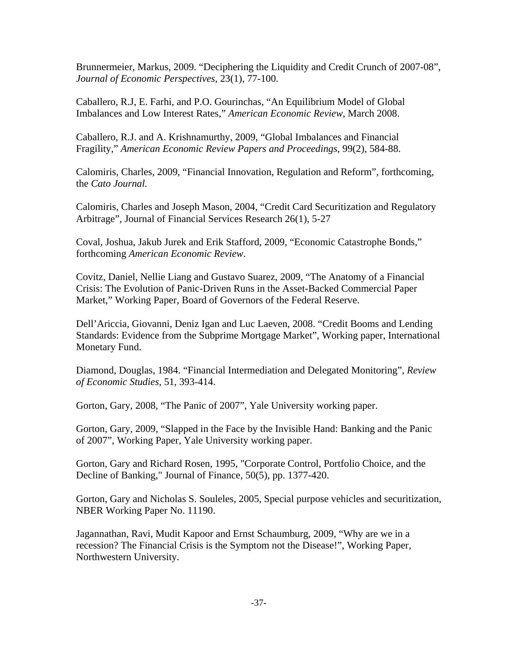Brunnermeier, Markus, 2009. "Deciphering the Liquidity and Credit Crunch of 2007-08", *Journal of Economic Perspectives,* 23(1), 77-100.

Caballero, R.J, E. Farhi, and P.O. Gourinchas, "An Equilibrium Model of Global Imbalances and Low Interest Rates," *American Economic Review*, March 2008.

Caballero, R.J. and A. Krishnamurthy, 2009, "Global Imbalances and Financial Fragility," *American Economic Review Papers and Proceedings*, 99(2), 584-88.

Calomiris, Charles, 2009, "Financial Innovation, Regulation and Reform", forthcoming, the *Cato Journal.* 

Calomiris, Charles and Joseph Mason, 2004, "Credit Card Securitization and Regulatory Arbitrage", Journal of Financial Services Research 26(1), 5-27

Coval, Joshua, Jakub Jurek and Erik Stafford, 2009, "Economic Catastrophe Bonds," forthcoming *American Economic Review*.

Covitz, Daniel, Nellie Liang and Gustavo Suarez, 2009, "The Anatomy of a Financial Crisis: The Evolution of Panic-Driven Runs in the Asset-Backed Commercial Paper Market," Working Paper, Board of Governors of the Federal Reserve.

Dell'Ariccia, Giovanni, Deniz Igan and Luc Laeven, 2008. "Credit Booms and Lending Standards: Evidence from the Subprime Mortgage Market", Working paper, International Monetary Fund.

Diamond, Douglas, 1984. "Financial Intermediation and Delegated Monitoring", *Review of Economic Studies,* 51, 393-414.

Gorton, Gary, 2008, "The Panic of 2007", Yale University working paper.

Gorton, Gary, 2009, "Slapped in the Face by the Invisible Hand: Banking and the Panic of 2007", Working Paper, Yale University working paper.

Gorton, Gary and Richard Rosen, 1995, "Corporate Control, Portfolio Choice, and the Decline of Banking," Journal of Finance, 50(5), pp. 1377-420.

Gorton, Gary and Nicholas S. Souleles, 2005, Special purpose vehicles and securitization, NBER Working Paper No. 11190.

Jagannathan, Ravi, Mudit Kapoor and Ernst Schaumburg, 2009, "Why are we in a recession? The Financial Crisis is the Symptom not the Disease!", Working Paper, Northwestern University.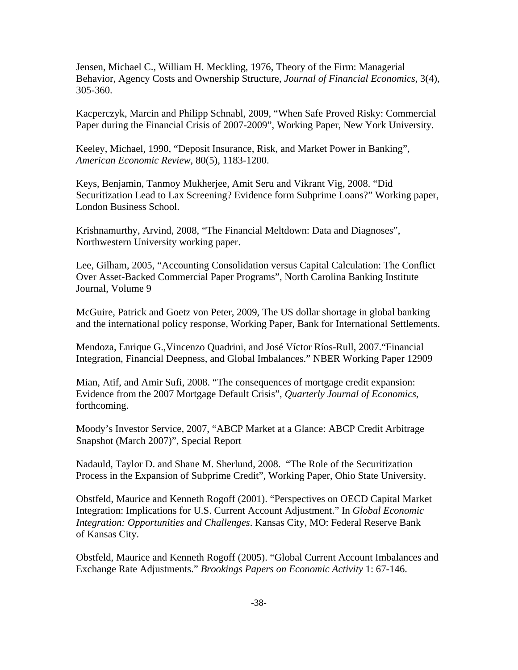Jensen, Michael C., William H. Meckling, 1976, Theory of the Firm: Managerial Behavior, Agency Costs and Ownership Structure, *Journal of Financial Economics*, 3(4), 305-360.

Kacperczyk, Marcin and Philipp Schnabl, 2009, "When Safe Proved Risky: Commercial Paper during the Financial Crisis of 2007-2009", Working Paper, New York University.

Keeley, Michael, 1990, "Deposit Insurance, Risk, and Market Power in Banking", *American Economic Review*, 80(5), 1183-1200.

Keys, Benjamin, Tanmoy Mukherjee, Amit Seru and Vikrant Vig, 2008. "Did Securitization Lead to Lax Screening? Evidence form Subprime Loans?" Working paper, London Business School.

Krishnamurthy, Arvind, 2008, "The Financial Meltdown: Data and Diagnoses", Northwestern University working paper.

Lee, Gilham, 2005, "Accounting Consolidation versus Capital Calculation: The Conflict Over Asset-Backed Commercial Paper Programs", North Carolina Banking Institute Journal, Volume 9

McGuire, Patrick and Goetz von Peter, 2009, The US dollar shortage in global banking and the international policy response, Working Paper, Bank for International Settlements.

Mendoza, Enrique G.,Vincenzo Quadrini, and José Víctor Ríos-Rull, 2007."Financial Integration, Financial Deepness, and Global Imbalances." NBER Working Paper 12909

Mian, Atif, and Amir Sufi, 2008. "The consequences of mortgage credit expansion: Evidence from the 2007 Mortgage Default Crisis", *Quarterly Journal of Economics,*  forthcoming.

Moody's Investor Service, 2007, "ABCP Market at a Glance: ABCP Credit Arbitrage Snapshot (March 2007)", Special Report

Nadauld, Taylor D. and Shane M. Sherlund, 2008. "The Role of the Securitization Process in the Expansion of Subprime Credit", Working Paper, Ohio State University.

Obstfeld, Maurice and Kenneth Rogoff (2001). "Perspectives on OECD Capital Market Integration: Implications for U.S. Current Account Adjustment." In *Global Economic Integration: Opportunities and Challenges*. Kansas City, MO: Federal Reserve Bank of Kansas City.

Obstfeld, Maurice and Kenneth Rogoff (2005). "Global Current Account Imbalances and Exchange Rate Adjustments." *Brookings Papers on Economic Activity* 1: 67-146.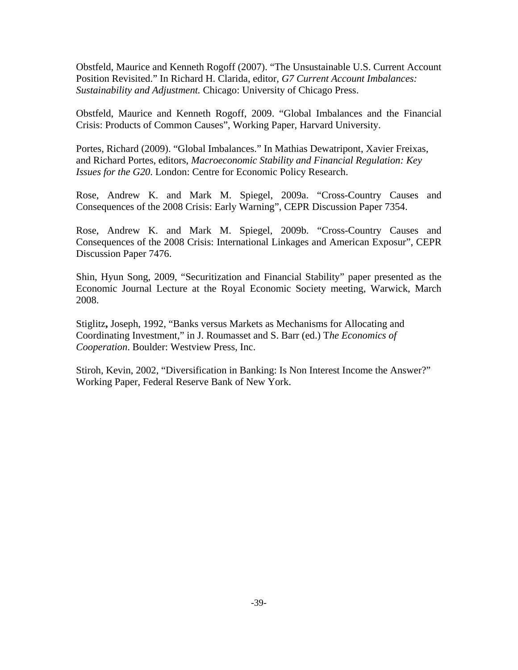Obstfeld, Maurice and Kenneth Rogoff (2007). "The Unsustainable U.S. Current Account Position Revisited." In Richard H. Clarida, editor, *G7 Current Account Imbalances: Sustainability and Adjustment.* Chicago: University of Chicago Press.

Obstfeld, Maurice and Kenneth Rogoff, 2009. "Global Imbalances and the Financial Crisis: Products of Common Causes", Working Paper, Harvard University.

Portes, Richard (2009). "Global Imbalances." In Mathias Dewatripont, Xavier Freixas, and Richard Portes, editors, *Macroeconomic Stability and Financial Regulation: Key Issues for the G20*. London: Centre for Economic Policy Research.

Rose, Andrew K. and Mark M. Spiegel, 2009a. "Cross-Country Causes and Consequences of the 2008 Crisis: Early Warning", CEPR Discussion Paper 7354.

Rose, Andrew K. and Mark M. Spiegel, 2009b. "Cross-Country Causes and Consequences of the 2008 Crisis: International Linkages and American Exposur", CEPR Discussion Paper 7476.

Shin, Hyun Song, 2009, "Securitization and Financial Stability" paper presented as the Economic Journal Lecture at the Royal Economic Society meeting, Warwick, March 2008.

Stiglitz**,** Joseph, 1992, "Banks versus Markets as Mechanisms for Allocating and Coordinating Investment," in J. Roumasset and S. Barr (ed.) T*he Economics of Cooperation*. Boulder: Westview Press, Inc.

Stiroh, Kevin, 2002, "Diversification in Banking: Is Non Interest Income the Answer?" Working Paper, Federal Reserve Bank of New York.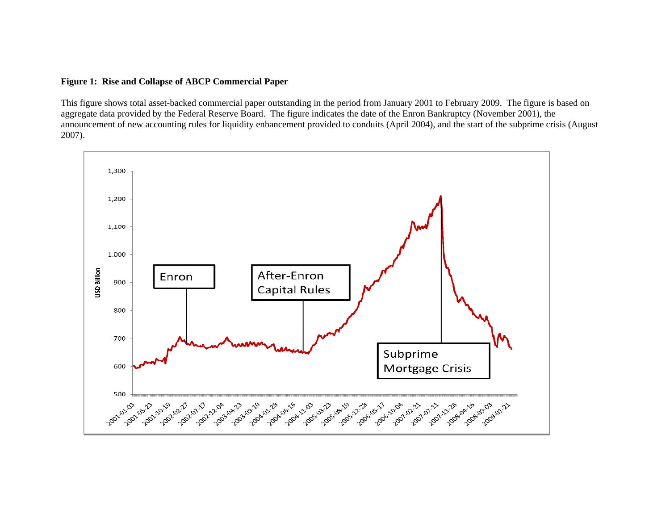## **Figure 1: Rise and Collapse of ABCP Commercial Paper**

This figure shows total asset-backed commercial paper outstanding in the period from January 2001 to February 2009. The figure is based on aggregate data provided by the Federal Reserve Board. The figure indicates the date of the Enron Bankruptcy (November 2001), the announcement of new accounting rules for liquidity enhancement provided to conduits (April 2004), and the start of the subprime crisis (August 2007).

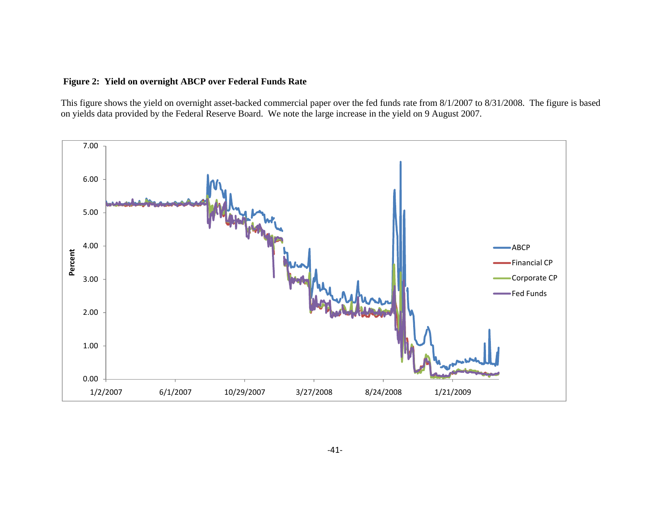# **Figure 2: Yield on overnight ABCP over Federal Funds Rate**

This figure shows the yield on overnight asset-backed commercial paper over the fed funds rate from 8/1/2007 to 8/31/2008. The figure is based on yields data provided by the Federal Reserve Board. We note the large increase in the yield on 9 August 2007.

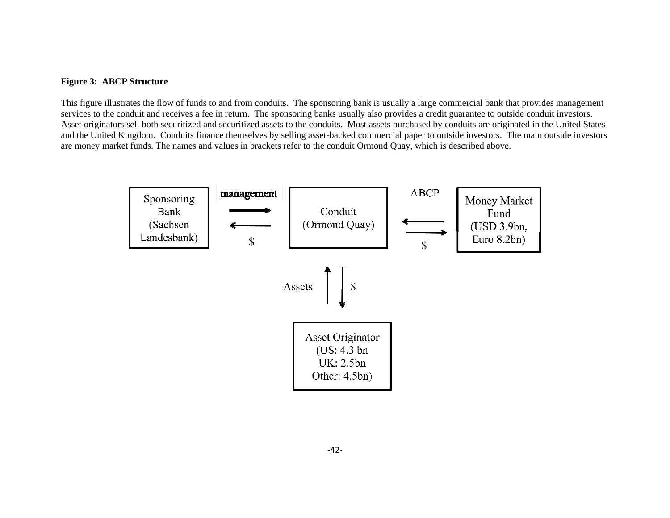## **Figure 3: ABCP Structure**

This figure illustrates the flow of funds to and from conduits. The sponsoring bank is usually a large commercial bank that provides management services to the conduit and receives a fee in return. The sponsoring banks usually also provides a credit guarantee to outside conduit investors. Asset originators sell both securitized and securitized assets to the conduits. Most assets purchased by conduits are originated in the United States and the United Kingdom. Conduits finance themselves by selling asset-backed commercial paper to outside investors. The main outside investors are money market funds. The names and values in brackets refer to the conduit Ormond Quay, which is described above.

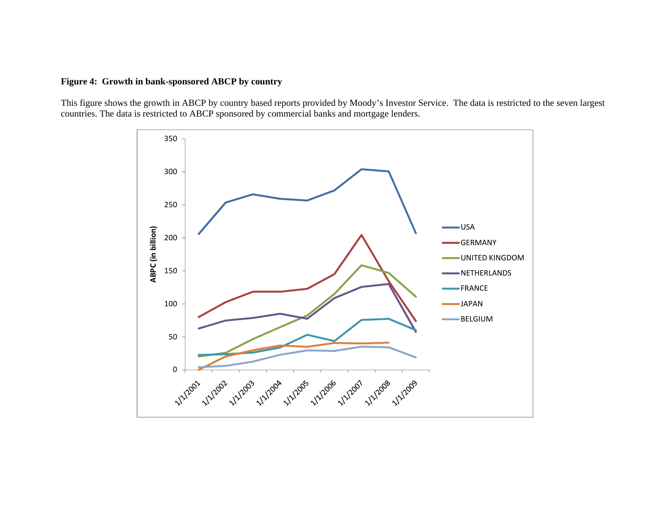# **Figure 4: Growth in bank-sponsored ABCP by country**

This figure shows the growth in ABCP by country based reports provided by Moody's Investor Service. The data is restricted to the seven largest countries. The data is restricted to ABCP sponsored by commercial banks and mortgage lenders.

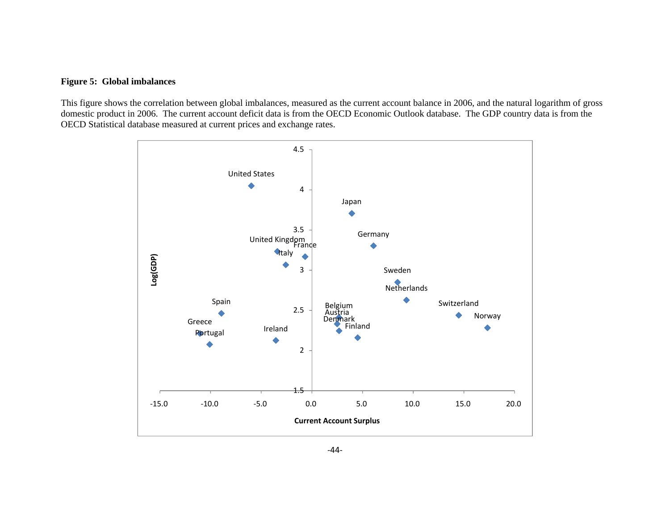# **Figure 5: Global imbalances**

This figure shows the correlation between global imbalances, measured as the current account balance in 2006, and the natural logarithm of gross domestic product in 2006. The current account deficit data is from the OECD Economic Outlook database. The GDP country data is from the OECD Statistical database measured at current prices and exchange rates.

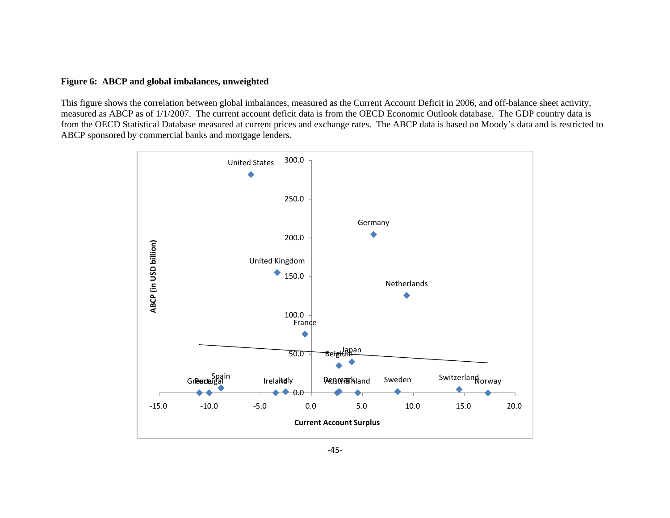#### **Figure 6: ABCP and global imbalances, unweighted**

This figure shows the correlation between global imbalances, measured as the Current Account Deficit in 2006, and off-balance sheet activity, measured as ABCP as of 1/1/2007. The current account deficit data is from the OECD Economic Outlook database. The GDP country data is from the OECD Statistical Database measured at current prices and exchange rates. The ABCP data is based on Moody's data and is restricted to ABCP sponsored by commercial banks and mortgage lenders.

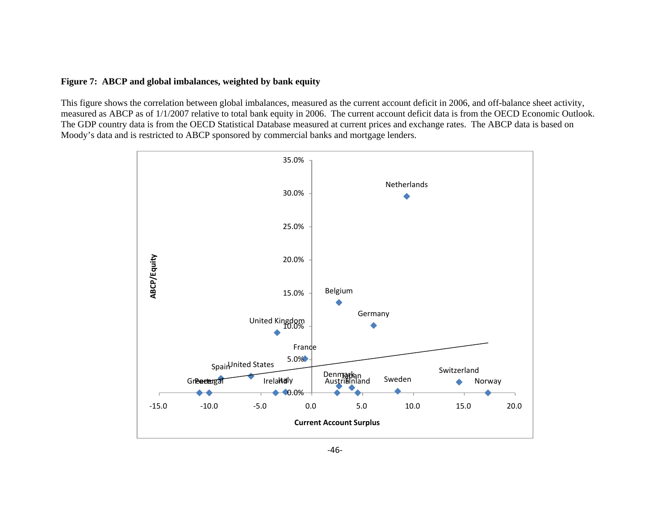#### **Figure 7: ABCP and global imbalances, weighted by bank equity**

This figure shows the correlation between global imbalances, measured as the current account deficit in 2006, and off-balance sheet activity, measured as ABCP as of 1/1/2007 relative to total bank equity in 2006. The current account deficit data is from the OECD Economic Outlook. The GDP country data is from the OECD Statistical Database measured at current prices and exchange rates. The ABCP data is based on Moody's data and is restricted to ABCP sponsored by commercial banks and mortgage lenders.

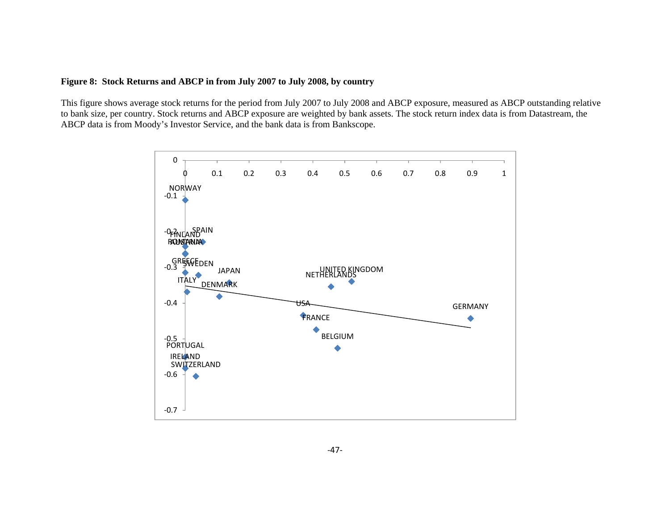# **Figure 8: Stock Returns and ABCP in from July 2007 to July 2008, by country**

This figure shows average stock returns for the period from July 2007 to July 2008 and ABCP exposure, measured as ABCP outstanding relative to bank size, per country. Stock returns and ABCP exposure are weighted by bank assets. The stock return index data is from Datastream, the ABCP data is from Moody's Investor Service, and the bank data is from Bankscope.

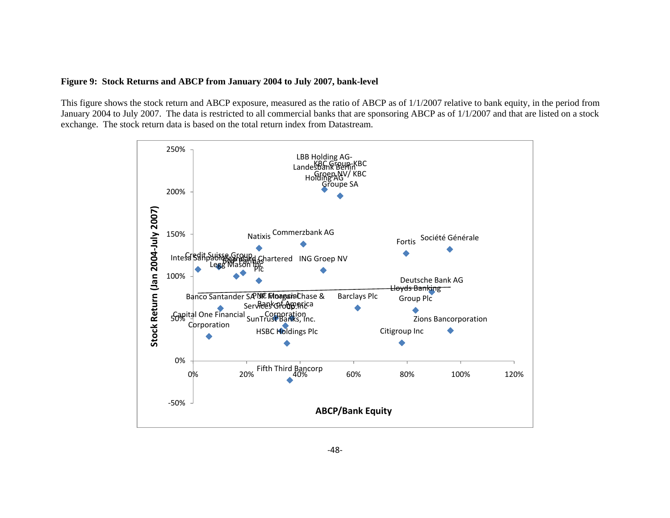#### **Figure 9: Stock Returns and ABCP from January 2004 to July 2007, bank-level**

This figure shows the stock return and ABCP exposure, measured as the ratio of ABCP as of 1/1/2007 relative to bank equity, in the period from January 2004 to July 2007. The data is restricted to all commercial banks that are sponsoring ABCP as of 1/1/2007 and that are listed on a stock exchange. The stock return data is based on the total return index from Datastream.

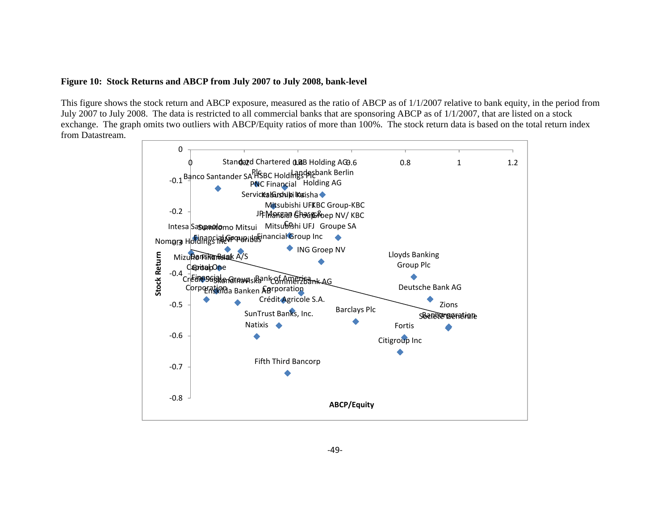## **Figure 10: Stock Returns and ABCP from July 2007 to July 2008, bank-level**

This figure shows the stock return and ABCP exposure, measured as the ratio of ABCP as of 1/1/2007 relative to bank equity, in the period from July 2007 to July 2008. The data is restricted to all commercial banks that are sponsoring ABCP as of 1/1/2007, that are listed on a stock exchange. The graph omits two outliers with ABCP/Equity ratios of more than 100%. The stock return data is based on the total return index from Datastream.

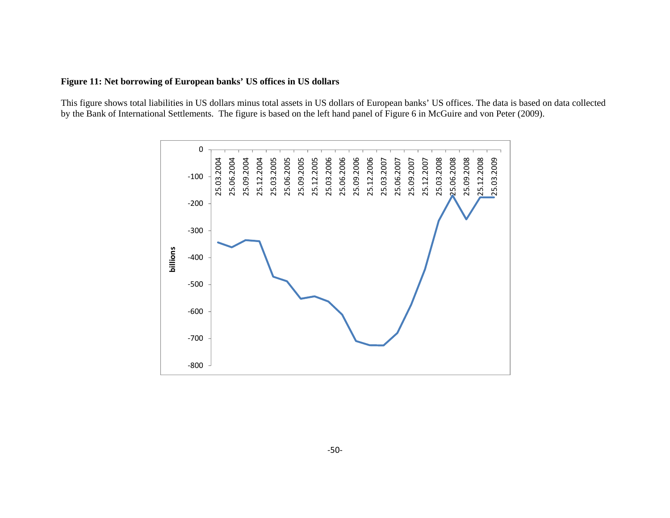# **Figure 11: Net borrowing of European banks' US offices in US dollars**

This figure shows total liabilities in US dollars minus total assets in US dollars of European banks' US offices. The data is based on data collected by the Bank of International Settlements. The figure is based on the left hand panel of Figure 6 in McGuire and von Peter (2009).

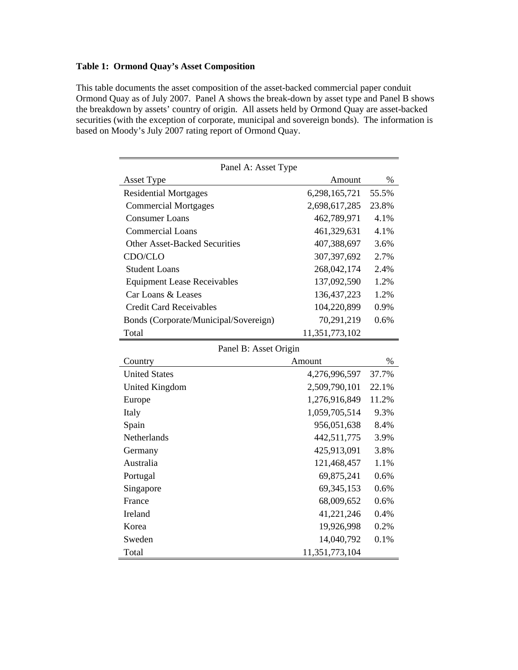# **Table 1: Ormond Quay's Asset Composition**

This table documents the asset composition of the asset-backed commercial paper conduit Ormond Quay as of July 2007. Panel A shows the break-down by asset type and Panel B shows the breakdown by assets' country of origin. All assets held by Ormond Quay are asset-backed securities (with the exception of corporate, municipal and sovereign bonds). The information is based on Moody's July 2007 rating report of Ormond Quay.

| Panel A: Asset Type                   |                |       |  |  |  |  |  |
|---------------------------------------|----------------|-------|--|--|--|--|--|
| <b>Asset Type</b>                     | Amount         | $\%$  |  |  |  |  |  |
| <b>Residential Mortgages</b>          | 6,298,165,721  | 55.5% |  |  |  |  |  |
| <b>Commercial Mortgages</b>           | 2,698,617,285  | 23.8% |  |  |  |  |  |
| <b>Consumer Loans</b>                 | 462,789,971    | 4.1%  |  |  |  |  |  |
| <b>Commercial Loans</b>               | 461,329,631    | 4.1%  |  |  |  |  |  |
| <b>Other Asset-Backed Securities</b>  | 407,388,697    | 3.6%  |  |  |  |  |  |
| CDO/CLO                               | 307,397,692    | 2.7%  |  |  |  |  |  |
| <b>Student Loans</b>                  | 268,042,174    | 2.4%  |  |  |  |  |  |
| <b>Equipment Lease Receivables</b>    | 137,092,590    | 1.2%  |  |  |  |  |  |
| Car Loans & Leases                    | 136, 437, 223  | 1.2%  |  |  |  |  |  |
| <b>Credit Card Receivables</b>        | 104,220,899    | 0.9%  |  |  |  |  |  |
| Bonds (Corporate/Municipal/Sovereign) | 70,291,219     | 0.6%  |  |  |  |  |  |
| Total                                 | 11,351,773,102 |       |  |  |  |  |  |
| Panel B: Asset Origin                 |                |       |  |  |  |  |  |
| Country                               | Amount         | $\%$  |  |  |  |  |  |
| <b>United States</b>                  | 4,276,996,597  | 37.7% |  |  |  |  |  |
| <b>United Kingdom</b>                 | 2,509,790,101  | 22.1% |  |  |  |  |  |
| Europe                                | 1,276,916,849  | 11.2% |  |  |  |  |  |
| Italy                                 | 1,059,705,514  | 9.3%  |  |  |  |  |  |
| Spain                                 | 956,051,638    | 8.4%  |  |  |  |  |  |
| Netherlands                           | 442,511,775    | 3.9%  |  |  |  |  |  |
| Germany                               | 425,913,091    | 3.8%  |  |  |  |  |  |
| Australia                             | 121,468,457    | 1.1%  |  |  |  |  |  |
| Portugal                              | 69,875,241     | 0.6%  |  |  |  |  |  |
| Singapore                             | 69, 345, 153   | 0.6%  |  |  |  |  |  |
| France                                | 68,009,652     | 0.6%  |  |  |  |  |  |
|                                       |                |       |  |  |  |  |  |
| Ireland                               | 41,221,246     | 0.4%  |  |  |  |  |  |
| Korea                                 | 19,926,998     | 0.2%  |  |  |  |  |  |
| Sweden                                | 14,040,792     | 0.1%  |  |  |  |  |  |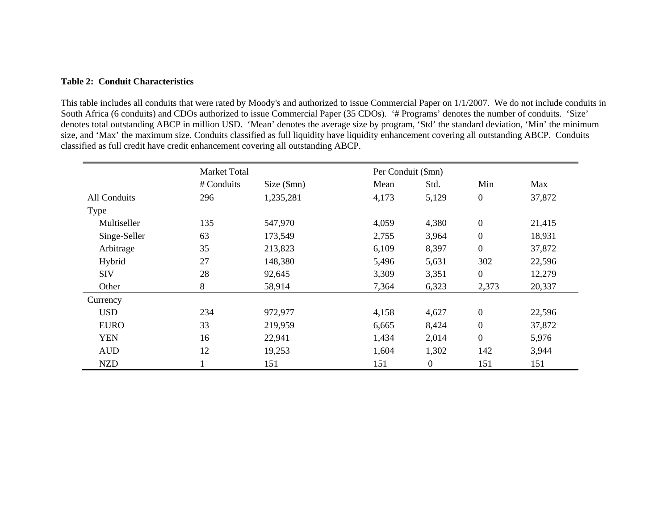#### **Table 2: Conduit Characteristics**

This table includes all conduits that were rated by Moody's and authorized to issue Commercial Paper on 1/1/2007. We do not include conduits in South Africa (6 conduits) and CDOs authorized to issue Commercial Paper (35 CDOs). '# Programs' denotes the number of conduits. 'Size' denotes total outstanding ABCP in million USD. 'Mean' denotes the average size by program, 'Std' the standard deviation, 'Min' the minimum size, and 'Max' the maximum size. Conduits classified as full liquidity have liquidity enhancement covering all outstanding ABCP. Conduits classified as full credit have credit enhancement covering all outstanding ABCP.

|              | <b>Market Total</b> |            | Per Conduit (\$mn) |                |                  |        |
|--------------|---------------------|------------|--------------------|----------------|------------------|--------|
|              | # Conduits          | Size (5mn) | Mean               | Std.           | Min              | Max    |
| All Conduits | 296                 | 1,235,281  | 4,173              | 5,129          | $\mathbf{0}$     | 37,872 |
| Type         |                     |            |                    |                |                  |        |
| Multiseller  | 135                 | 547,970    | 4,059              | 4,380          | $\overline{0}$   | 21,415 |
| Singe-Seller | 63                  | 173,549    | 2,755              | 3,964          | $\boldsymbol{0}$ | 18,931 |
| Arbitrage    | 35                  | 213,823    | 6,109              | 8,397          | $\overline{0}$   | 37,872 |
| Hybrid       | 27                  | 148,380    | 5,496              | 5,631          | 302              | 22,596 |
| <b>SIV</b>   | 28                  | 92,645     | 3,309              | 3,351          | $\overline{0}$   | 12,279 |
| Other        | 8                   | 58,914     | 7,364              | 6,323          | 2,373            | 20,337 |
| Currency     |                     |            |                    |                |                  |        |
| <b>USD</b>   | 234                 | 972,977    | 4,158              | 4,627          | $\overline{0}$   | 22,596 |
| <b>EURO</b>  | 33                  | 219,959    | 6,665              | 8,424          | $\overline{0}$   | 37,872 |
| <b>YEN</b>   | 16                  | 22,941     | 1,434              | 2,014          | $\overline{0}$   | 5,976  |
| <b>AUD</b>   | 12                  | 19,253     | 1,604              | 1,302          | 142              | 3,944  |
| <b>NZD</b>   |                     | 151        | 151                | $\overline{0}$ | 151              | 151    |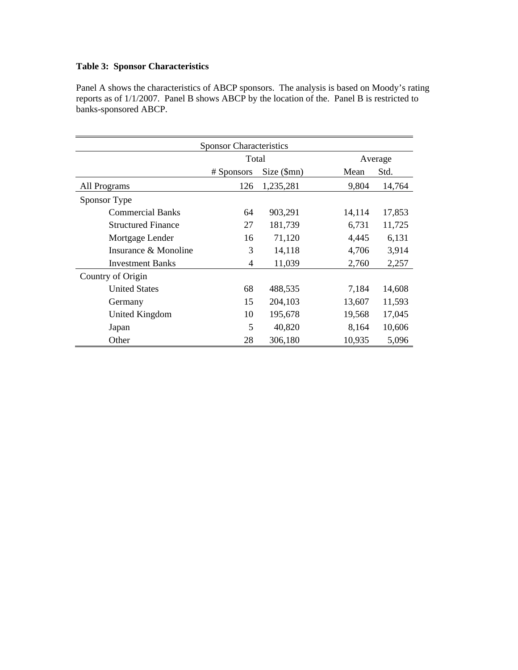# **Table 3: Sponsor Characteristics**

Panel A shows the characteristics of ABCP sponsors. The analysis is based on Moody's rating reports as of 1/1/2007. Panel B shows ABCP by the location of the. Panel B is restricted to banks-sponsored ABCP.

| <b>Sponsor Characteristics</b> |                |            |              |        |  |  |  |
|--------------------------------|----------------|------------|--------------|--------|--|--|--|
|                                | Total          |            | Average      |        |  |  |  |
|                                | # Sponsors     | Size (5mn) | Mean<br>Std. |        |  |  |  |
| All Programs                   | 126            | 1,235,281  | 9,804        | 14,764 |  |  |  |
| Sponsor Type                   |                |            |              |        |  |  |  |
| <b>Commercial Banks</b>        | 64             | 903,291    | 14,114       | 17,853 |  |  |  |
| <b>Structured Finance</b>      | 27             | 181,739    | 6,731        | 11,725 |  |  |  |
| Mortgage Lender                | 16             | 71,120     | 4,445        | 6,131  |  |  |  |
| Insurance & Monoline           | 3              | 14,118     | 4,706        | 3,914  |  |  |  |
| <b>Investment Banks</b>        | $\overline{4}$ | 11,039     | 2,760        | 2,257  |  |  |  |
| Country of Origin              |                |            |              |        |  |  |  |
| <b>United States</b>           | 68             | 488,535    | 7,184        | 14,608 |  |  |  |
| Germany                        | 15             | 204,103    | 13,607       | 11,593 |  |  |  |
| United Kingdom                 | 10             | 195,678    | 19,568       | 17,045 |  |  |  |
| Japan                          | 5              | 40,820     | 8,164        | 10,606 |  |  |  |
| Other                          | 28             | 306,180    | 10,935       | 5,096  |  |  |  |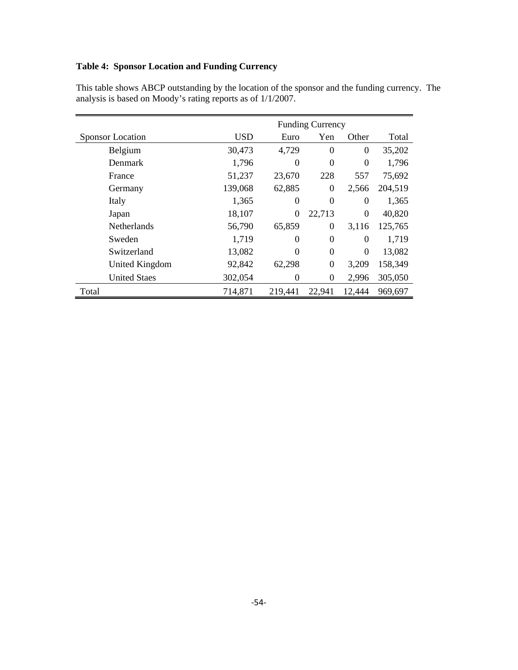# **Table 4: Sponsor Location and Funding Currency**

|       |                         |            | <b>Funding Currency</b> |                  |                  |         |  |  |
|-------|-------------------------|------------|-------------------------|------------------|------------------|---------|--|--|
|       | <b>Sponsor Location</b> | <b>USD</b> | Euro                    | Yen              | Other            | Total   |  |  |
|       | Belgium                 | 30,473     | 4,729                   | $\theta$         | $\overline{0}$   | 35,202  |  |  |
|       | <b>Denmark</b>          | 1,796      | $\theta$                | $\theta$         | $\overline{0}$   | 1,796   |  |  |
|       | France                  | 51,237     | 23,670                  | 228              | 557              | 75,692  |  |  |
|       | Germany                 | 139,068    | 62,885                  | $\boldsymbol{0}$ | 2,566            | 204,519 |  |  |
|       | Italy                   | 1,365      | 0                       | $\boldsymbol{0}$ | $\boldsymbol{0}$ | 1,365   |  |  |
|       | Japan                   | 18,107     | $\theta$                | 22,713           | $\boldsymbol{0}$ | 40,820  |  |  |
|       | <b>Netherlands</b>      | 56,790     | 65,859                  | $\boldsymbol{0}$ | 3,116            | 125,765 |  |  |
|       | Sweden                  | 1,719      | $\Omega$                | $\theta$         | $\theta$         | 1,719   |  |  |
|       | Switzerland             | 13,082     | $\Omega$                | $\theta$         | $\boldsymbol{0}$ | 13,082  |  |  |
|       | United Kingdom          | 92,842     | 62,298                  | $\overline{0}$   | 3,209            | 158,349 |  |  |
|       | <b>United Staes</b>     | 302,054    | $\theta$                | $\boldsymbol{0}$ | 2,996            | 305,050 |  |  |
| Total |                         | 714,871    | 219,441                 | 22,941           | 12,444           | 969,697 |  |  |

This table shows ABCP outstanding by the location of the sponsor and the funding currency. The analysis is based on Moody's rating reports as of 1/1/2007.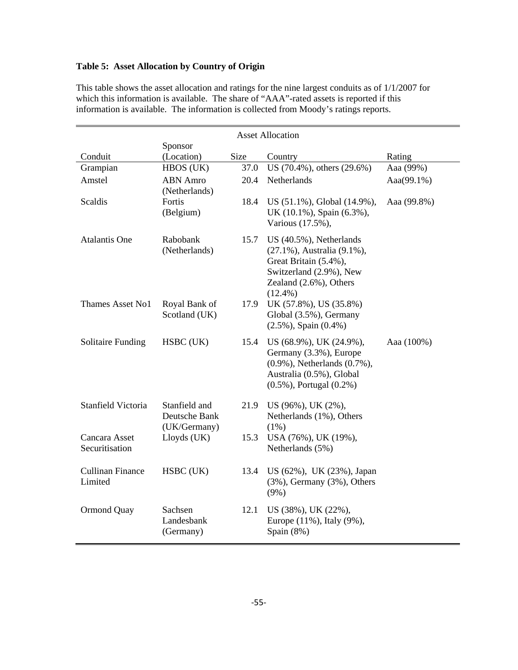# **Table 5: Asset Allocation by Country of Origin**

| <b>Asset Allocation</b>            |                                                |      |                                                                                                                                                        |             |  |
|------------------------------------|------------------------------------------------|------|--------------------------------------------------------------------------------------------------------------------------------------------------------|-------------|--|
|                                    | Sponsor                                        |      |                                                                                                                                                        |             |  |
| Conduit                            | (Location)                                     | Size | Country                                                                                                                                                | Rating      |  |
| Grampian                           | HBOS (UK)                                      | 37.0 | US (70.4%), others (29.6%)                                                                                                                             | Aaa (99%)   |  |
| Amstel                             | <b>ABN</b> Amro<br>(Netherlands)               | 20.4 | Netherlands                                                                                                                                            | Aaa(99.1%)  |  |
| Scaldis                            | Fortis<br>(Belgium)                            | 18.4 | US (51.1%), Global (14.9%),<br>UK (10.1%), Spain (6.3%),<br>Various (17.5%),                                                                           | Aaa (99.8%) |  |
| <b>Atalantis One</b>               | Rabobank<br>(Netherlands)                      | 15.7 | US (40.5%), Netherlands<br>(27.1%), Australia (9.1%),<br>Great Britain (5.4%),<br>Switzerland (2.9%), New<br>Zealand (2.6%), Others<br>$(12.4\%)$      |             |  |
| Thames Asset No1                   | Royal Bank of<br>Scotland (UK)                 | 17.9 | UK (57.8%), US (35.8%)<br>Global (3.5%), Germany<br>$(2.5\%)$ , Spain $(0.4\%)$                                                                        |             |  |
| <b>Solitaire Funding</b>           | HSBC (UK)                                      | 15.4 | US (68.9%), UK (24.9%),<br>Germany (3.3%), Europe<br>$(0.9\%)$ , Netherlands $(0.7\%)$ ,<br>Australia (0.5%), Global<br>$(0.5\%)$ , Portugal $(0.2\%)$ | Aaa (100%)  |  |
| Stanfield Victoria                 | Stanfield and<br>Deutsche Bank<br>(UK/Germany) |      | 21.9 US (96%), UK (2%),<br>Netherlands (1%), Others<br>$(1\%)$                                                                                         |             |  |
| Cancara Asset<br>Securitisation    | Lloyds (UK)                                    | 15.3 | USA (76%), UK (19%),<br>Netherlands (5%)                                                                                                               |             |  |
| <b>Cullinan Finance</b><br>Limited | HSBC (UK)                                      | 13.4 | US (62%), UK (23%), Japan<br>$(3\%)$ , Germany $(3\%)$ , Others<br>(9%)                                                                                |             |  |
| Ormond Quay                        | Sachsen<br>Landesbank<br>(Germany)             | 12.1 | US (38%), UK (22%),<br>Europe (11%), Italy (9%),<br>Spain (8%)                                                                                         |             |  |

This table shows the asset allocation and ratings for the nine largest conduits as of 1/1/2007 for which this information is available. The share of "AAA"-rated assets is reported if this information is available. The information is collected from Moody's ratings reports.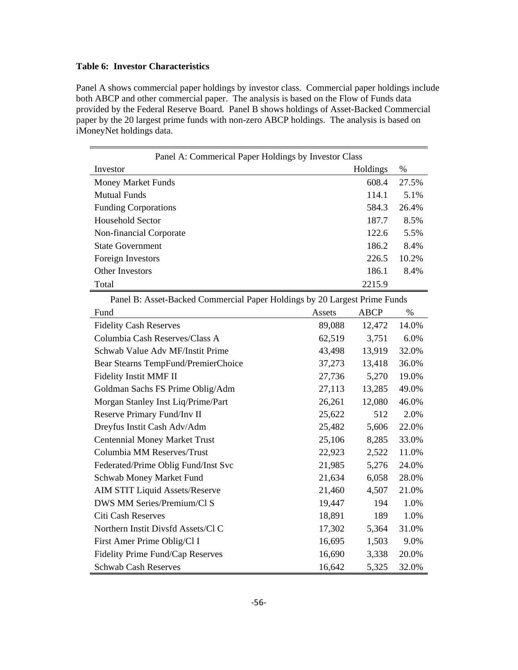# **Table 6: Investor Characteristics**

Panel A shows commercial paper holdings by investor class. Commercial paper holdings include both ABCP and other commercial paper. The analysis is based on the Flow of Funds data provided by the Federal Reserve Board. Panel B shows holdings of Asset-Backed Commercial paper by the 20 largest prime funds with non-zero ABCP holdings. The analysis is based on iMoneyNet holdings data.

| Panel A: Commerical Paper Holdings by Investor Class                      |        |             |       |  |  |  |  |  |
|---------------------------------------------------------------------------|--------|-------------|-------|--|--|--|--|--|
| Investor                                                                  |        | Holdings    | $\%$  |  |  |  |  |  |
| <b>Money Market Funds</b>                                                 |        | 608.4       | 27.5% |  |  |  |  |  |
| <b>Mutual Funds</b>                                                       |        | 114.1       | 5.1%  |  |  |  |  |  |
| <b>Funding Corporations</b>                                               |        | 584.3       | 26.4% |  |  |  |  |  |
| Household Sector                                                          |        | 187.7       | 8.5%  |  |  |  |  |  |
| Non-financial Corporate                                                   |        | 122.6       | 5.5%  |  |  |  |  |  |
| <b>State Government</b>                                                   |        | 186.2       | 8.4%  |  |  |  |  |  |
| Foreign Investors                                                         |        | 226.5       | 10.2% |  |  |  |  |  |
| Other Investors                                                           |        | 186.1       | 8.4%  |  |  |  |  |  |
| Total                                                                     |        | 2215.9      |       |  |  |  |  |  |
| Panel B: Asset-Backed Commercial Paper Holdings by 20 Largest Prime Funds |        |             |       |  |  |  |  |  |
| Fund                                                                      | Assets | <b>ABCP</b> | $\%$  |  |  |  |  |  |
| <b>Fidelity Cash Reserves</b>                                             | 89,088 | 12,472      | 14.0% |  |  |  |  |  |
| Columbia Cash Reserves/Class A                                            | 62,519 | 3,751       | 6.0%  |  |  |  |  |  |
| Schwab Value Adv MF/Instit Prime                                          | 43,498 | 13,919      | 32.0% |  |  |  |  |  |
| Bear Stearns TempFund/PremierChoice                                       | 37,273 | 13,418      | 36.0% |  |  |  |  |  |
| Fidelity Instit MMF II                                                    | 27,736 | 5,270       | 19.0% |  |  |  |  |  |
| Goldman Sachs FS Prime Oblig/Adm                                          | 27,113 | 13,285      | 49.0% |  |  |  |  |  |
| Morgan Stanley Inst Liq/Prime/Part                                        | 26,261 | 12,080      | 46.0% |  |  |  |  |  |
| Reserve Primary Fund/Inv II                                               | 25,622 | 512         | 2.0%  |  |  |  |  |  |
| Dreyfus Instit Cash Adv/Adm                                               | 25,482 | 5,606       | 22.0% |  |  |  |  |  |
| <b>Centennial Money Market Trust</b>                                      | 25,106 | 8,285       | 33.0% |  |  |  |  |  |
| Columbia MM Reserves/Trust                                                | 22,923 | 2,522       | 11.0% |  |  |  |  |  |
| Federated/Prime Oblig Fund/Inst Svc                                       | 21,985 | 5,276       | 24.0% |  |  |  |  |  |
| Schwab Money Market Fund                                                  | 21,634 | 6,058       | 28.0% |  |  |  |  |  |
| <b>AIM STIT Liquid Assets/Reserve</b>                                     | 21,460 | 4,507       | 21.0% |  |  |  |  |  |
| DWS MM Series/Premium/Cl S                                                | 19,447 | 194         | 1.0%  |  |  |  |  |  |
| Citi Cash Reserves                                                        | 18,891 | 189         | 1.0%  |  |  |  |  |  |
| Northern Instit Divsfd Assets/Cl C                                        | 17,302 | 5,364       | 31.0% |  |  |  |  |  |
| First Amer Prime Oblig/Cl I                                               | 16,695 | 1,503       | 9.0%  |  |  |  |  |  |
| Fidelity Prime Fund/Cap Reserves                                          | 16,690 | 3,338       | 20.0% |  |  |  |  |  |
| <b>Schwab Cash Reserves</b>                                               | 16,642 | 5,325       | 32.0% |  |  |  |  |  |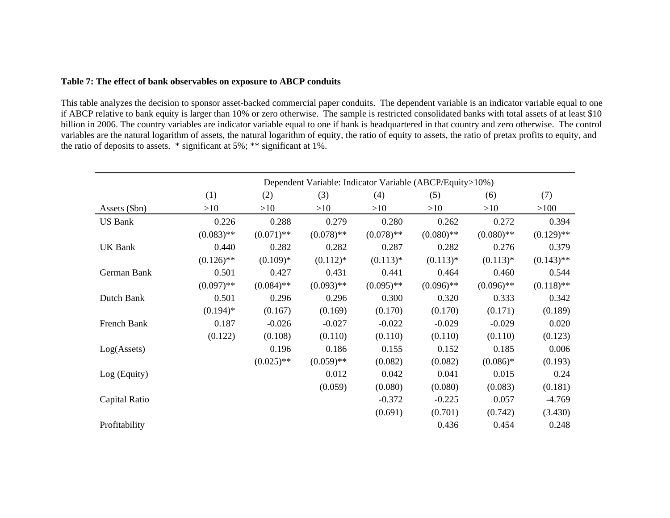#### **Table 7: The effect of bank observables on exposure to ABCP conduits**

This table analyzes the decision to sponsor asset-backed commercial paper conduits. The dependent variable is an indicator variable equal to one if ABCP relative to bank equity is larger than 10% or zero otherwise. The sample is restricted consolidated banks with total assets of at least \$10 billion in 2006. The country variables are indicator variable equal to one if bank is headquartered in that country and zero otherwise. The control variables are the natural logarithm of assets, the natural logarithm of equity, the ratio of equity to assets, the ratio of pretax profits to equity, and the ratio of deposits to assets. \* significant at 5%; \*\* significant at 1%.

|                      |              | Dependent Variable: Indicator Variable (ABCP/Equity>10%) |              |              |              |              |              |
|----------------------|--------------|----------------------------------------------------------|--------------|--------------|--------------|--------------|--------------|
|                      | (1)          | (2)                                                      | (3)          | (4)          | (5)          | (6)          | (7)          |
| Assets (\$bn)        | >10          | >10                                                      | >10          | >10          | >10          | >10          | >100         |
| <b>US Bank</b>       | 0.226        | 0.288                                                    | 0.279        | 0.280        | 0.262        | 0.272        | 0.394        |
|                      | $(0.083)$ ** | $(0.071)$ **                                             | $(0.078)$ ** | $(0.078)$ ** | $(0.080)$ ** | $(0.080)$ ** | $(0.129)$ ** |
| <b>UK Bank</b>       | 0.440        | 0.282                                                    | 0.282        | 0.287        | 0.282        | 0.276        | 0.379        |
|                      | $(0.126)$ ** | $(0.109)*$                                               | $(0.112)*$   | $(0.113)*$   | $(0.113)*$   | $(0.113)*$   | $(0.143)$ ** |
| German Bank          | 0.501        | 0.427                                                    | 0.431        | 0.441        | 0.464        | 0.460        | 0.544        |
|                      | $(0.097)$ ** | $(0.084)$ **                                             | $(0.093)$ ** | $(0.095)$ ** | $(0.096)$ ** | $(0.096)$ ** | $(0.118)$ ** |
| Dutch Bank           | 0.501        | 0.296                                                    | 0.296        | 0.300        | 0.320        | 0.333        | 0.342        |
|                      | $(0.194)$ *  | (0.167)                                                  | (0.169)      | (0.170)      | (0.170)      | (0.171)      | (0.189)      |
| French Bank          | 0.187        | $-0.026$                                                 | $-0.027$     | $-0.022$     | $-0.029$     | $-0.029$     | 0.020        |
|                      | (0.122)      | (0.108)                                                  | (0.110)      | (0.110)      | (0.110)      | (0.110)      | (0.123)      |
| Log(A <sub>s</sub> ) |              | 0.196                                                    | 0.186        | 0.155        | 0.152        | 0.185        | 0.006        |
|                      |              | $(0.025)$ **                                             | $(0.059)$ ** | (0.082)      | (0.082)      | $(0.086)*$   | (0.193)      |
| Log (Equity)         |              |                                                          | 0.012        | 0.042        | 0.041        | 0.015        | 0.24         |
|                      |              |                                                          | (0.059)      | (0.080)      | (0.080)      | (0.083)      | (0.181)      |
| Capital Ratio        |              |                                                          |              | $-0.372$     | $-0.225$     | 0.057        | $-4.769$     |
|                      |              |                                                          |              | (0.691)      | (0.701)      | (0.742)      | (3.430)      |
| Profitability        |              |                                                          |              |              | 0.436        | 0.454        | 0.248        |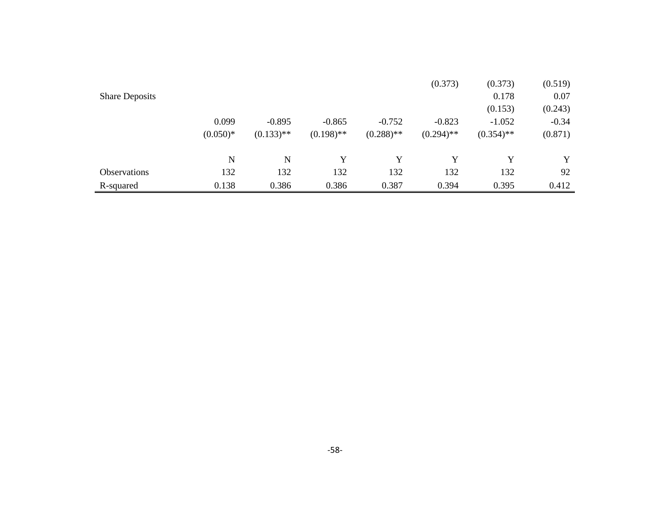|                       |            |              |              |              | (0.373)      | (0.373)      | (0.519) |
|-----------------------|------------|--------------|--------------|--------------|--------------|--------------|---------|
| <b>Share Deposits</b> |            |              |              |              |              | 0.178        | 0.07    |
|                       |            |              |              |              |              | (0.153)      | (0.243) |
|                       | 0.099      | $-0.895$     | $-0.865$     | $-0.752$     | $-0.823$     | $-1.052$     | $-0.34$ |
|                       | $(0.050)*$ | $(0.133)$ ** | $(0.198)$ ** | $(0.288)$ ** | $(0.294)$ ** | $(0.354)$ ** | (0.871) |
|                       | N          | N            | Y            | Y            | Y            |              | Y       |
| <b>Observations</b>   | 132        | 132          | 132          | 132          | 132          | 132          | 92      |
| R-squared             | 0.138      | 0.386        | 0.386        | 0.387        | 0.394        | 0.395        | 0.412   |